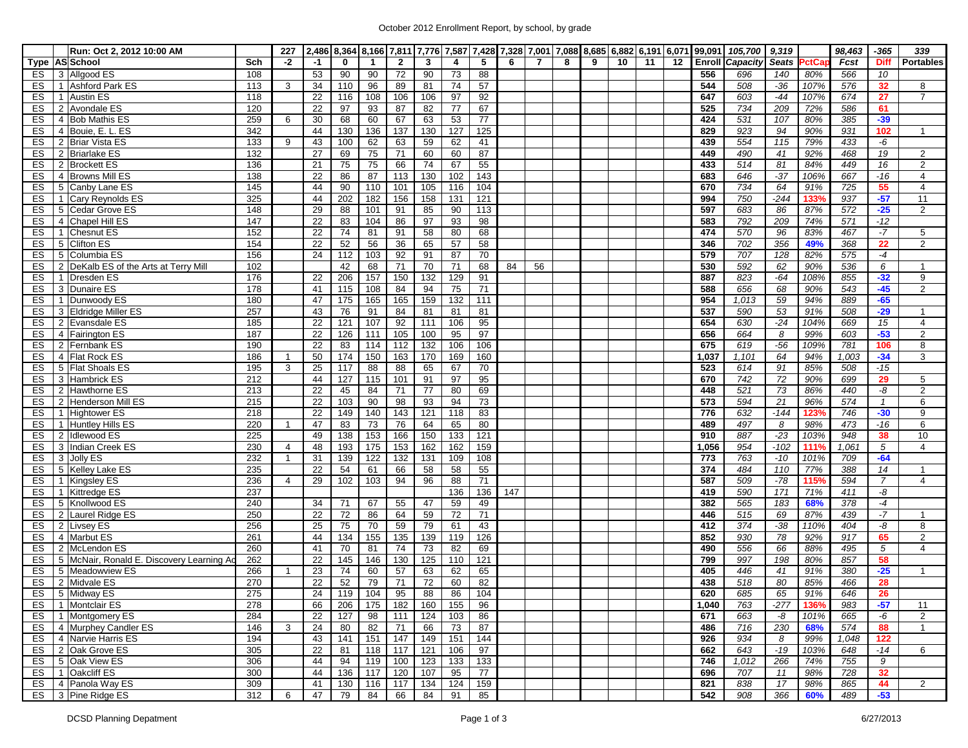## October 2012 Enrollment Report, by school, by grade

| $-2$<br><b>Enroll Capacity</b><br><b>Seats</b><br>Type AS School<br>Sch<br>$-1$<br>0<br>$\mathbf{2}$<br>3<br>5<br>6<br>$\overline{7}$<br>8<br>9<br>10<br>11<br>12<br><b>ctCa</b><br>Fcst<br><b>Diff</b><br>4<br>53<br>90<br>72<br>90<br>88<br>556<br>10<br>3 Allgood ES<br>108<br>90<br>73<br>696<br>140<br>80%<br>ES<br>566<br>34<br>81<br>74<br>57<br>$-36$<br>32<br>ES<br>1 Ashford Park ES<br>113<br>3<br>110<br>96<br>89<br>544<br>508<br>107%<br>576<br>22<br>106<br>$-44$<br>ES<br>1 Austin ES<br>118<br>116<br>108<br>106<br>97<br>92<br>647<br>603<br>107%<br>674<br>27<br>ES<br>2 Avondale ES<br>120<br>22<br>$\overline{82}$<br>77<br>67<br>734<br>209<br>72%<br>97<br>93<br>87<br>525<br>586<br>61<br>ES<br>259<br>63<br>531<br>$-39$<br>4 Bob Mathis ES<br>30<br>68<br>60<br>67<br>53<br>77<br>424<br>107<br>80%<br>385<br>6<br>130<br>127<br>ES<br>342<br>44<br>130<br>136<br>137<br>125<br>923<br>$\overline{94}$<br>90%<br>931<br>102<br>4 Bouie, E. L. ES<br>829<br>59<br>ES<br>$\overline{133}$<br>43<br>62<br>63<br>62<br>439<br>554<br>115<br>79%<br>-6<br>2 Briar Vista ES<br>100<br>41<br>433<br>9<br>$\overline{27}$<br>60<br>60<br>87<br>$\overline{19}$<br>ES<br>2 Briarlake ES<br>132<br>69<br>$\overline{75}$<br>$\overline{71}$<br>449<br>490<br>41<br>92%<br>468<br>75<br>74<br>67<br>55<br>81<br>ES<br>136<br>21<br>75<br>66<br>433<br>$\overline{514}$<br>84%<br>449<br>16<br>2 Brockett ES<br>130<br>102<br>143<br>$-37$<br>ES<br>4 Browns Mill ES<br>138<br>22<br>86<br>87<br>113<br>646<br>106%<br>667<br>$-16$<br>683<br>ES<br>110<br>101<br>734<br>64<br>55<br>5 Canby Lane ES<br>145<br>44<br>90<br>105<br>116<br>104<br>670<br>91%<br>725<br>$-57$<br>325<br>202<br>182<br>158<br>131<br>$\overline{121}$<br>750<br>$-244$<br>133%<br>937<br>ES<br>1 Cary Reynolds ES<br>44<br>156<br>994<br>$-25$<br>ES<br>5 Cedar Grove ES<br>148<br>29<br>85<br>90<br>113<br>683<br>86<br>87%<br>572<br>88<br>101<br>91<br>597<br>4 Chapel Hill ES<br>147<br>22<br>97<br>93<br>98<br>792<br>209<br>74%<br>571<br>$-12$<br>ES<br>83<br>104<br>86<br>583<br>$\overline{22}$<br>570<br>$-7$<br>ES<br>1 Chesnut ES<br>152<br>$\overline{74}$<br>$\overline{58}$<br>80<br>68<br>474<br>$\overline{96}$<br>81<br>91<br>83%<br>467<br>ES<br>5 Clifton ES<br>154<br>22<br>56<br>36<br>65<br>57<br>58<br>702<br>356<br>49%<br>22<br>52<br>346<br>368<br>ES<br>156<br>112<br>91<br>87<br>70<br>707<br>5 Columbia ES<br>24<br>103<br>92<br>579<br>128<br>82%<br>575<br>-4<br>70<br>592<br>62<br>6<br>ES<br>2 DeKalb ES of the Arts at Terry Mill<br>102<br>42<br>68<br>71<br>71<br>68<br>84<br>56<br>530<br>90%<br>536<br>129<br>176<br>206<br>157<br>$\overline{132}$<br>91<br>823<br>$-64$<br>108%<br>855<br>$-32$<br>ES<br>1 Dresden ES<br>22<br>150<br>887<br>68<br>ES<br>178<br>108<br>84<br>94<br>75<br>$\overline{71}$<br>588<br>656<br>$-45$<br>3 Dunaire ES<br>41<br>115<br>90%<br>543<br>159<br>132<br>$-65$<br>180<br>165<br>111<br>1,013<br>$\overline{59}$<br>94%<br>ES<br>1 Dunwoody ES<br>47<br>175<br>165<br>954<br>889<br>257<br>43<br>76<br>590<br>53<br>508<br>$-29$<br>ES<br>3 Eldridge Miller ES<br>91<br>84<br>81<br>81<br>81<br>537<br>91%<br>106<br>185<br>22<br>$\overline{121}$<br>107<br>92<br>$\frac{111}{11}$<br>95<br>630<br>$-24$<br>104%<br>15<br>ES<br>2 Evansdale ES<br>654<br>669<br>$-53$<br>ES<br>187<br>22<br>111<br>105<br>100<br>95<br>97<br>99%<br>4 Fairington ES<br>126<br>656<br>664<br>8<br>603<br>190<br>$\overline{22}$<br>$\overline{132}$<br>106<br>106<br>675<br>$-56$<br>106<br>ES<br>2 Fernbank ES<br>83<br>114<br>112<br>619<br>109%<br>781<br>$-34$<br>ES<br>186<br>50<br>174<br>150<br>163<br>170<br>169<br>160<br>64<br>94%<br>4 Flat Rock ES<br>1,037<br>1,101<br>1,003<br>$\overline{1}$<br>5 Flat Shoals ES<br>3<br>25<br>65<br>70<br>91<br>$-15$<br>ES<br>195<br>117<br>88<br>88<br>67<br>523<br>614<br>85%<br>508<br>97<br>95<br>742<br>ES<br>127<br>91<br>72<br>29<br>3 Hambrick ES<br>212<br>44<br>115<br>101<br>670<br>90%<br>699<br>ES<br>22<br>45<br>77<br>80<br>69<br>521<br>73<br>86%<br>-8<br>2 Hawthorne ES<br>213<br>84<br>71<br>448<br>440<br>94<br>ES<br>22<br>103<br>$\overline{90}$<br>$\overline{93}$<br>73<br>594<br>21<br>574<br>2 Henderson Mill ES<br>215<br>98<br>573<br>96%<br>$\mathbf{1}$<br>ES<br>$\overline{218}$<br>$\overline{22}$<br>149<br>140<br>143<br>121<br>118<br>83<br>776<br>632<br>$-144$<br>746<br>$-30$<br><b>Hightower ES</b><br>123%<br>$\mathbf{1}$<br>47<br>65<br>80<br>497<br>ES<br>Huntley Hills ES<br>220<br>83<br>$\overline{73}$<br>76<br>64<br>489<br>8<br>98%<br>473<br>$-16$<br>-1<br>153<br>$-23$<br>ES<br>225<br>49<br>166<br>150<br>133<br>$\overline{121}$<br>910<br>887<br>103%<br>948<br>38<br><b>Idlewood ES</b><br>138<br>2<br>$-102$<br>$\overline{5}$<br>230<br>48<br>193<br>162<br>162<br>159<br>954<br>ES<br>3 Indian Creek ES<br>175<br>153<br>1,056<br>111%<br>1,061<br>$\overline{4}$<br>ES<br>3 Jolly ES<br>232<br>31<br>139<br>122<br>132<br>131<br>108<br>773<br>763<br>$-10$<br>709<br>$-64$<br>$\overline{1}$<br>109<br>101%<br>ES<br>235<br>22<br>54<br>58<br>58<br>55<br>374<br>110<br>77%<br>5 Kelley Lake ES<br>61<br>66<br>484<br>388<br>14<br>96<br>$\overline{71}$<br>$-78$<br>ES<br>236<br>29<br>102<br>103<br>94<br>88<br>587<br>509<br>115%<br>594<br>$\overline{7}$<br>1 Kingsley ES<br>$\overline{4}$<br>1 Kittredge ES<br>237<br>136<br>590<br>171<br>71%<br>-8<br>ES<br>136<br>147<br>419<br>411<br>240<br>34<br>67<br>47<br>382<br>565<br>183<br>68%<br>$\overline{378}$<br>$-4$<br>ES<br>5 Knollwood ES<br>71<br>55<br>59<br>49<br>$-7$<br>2 Laurel Ridge ES<br>250<br>22<br>72<br>59<br>69<br>ES<br>86<br>64<br>72<br>71<br>446<br>515<br>87%<br>439<br>79<br>ES<br>2 Livsey ES<br>256<br>25<br>75<br>70<br>43<br>374<br>$-38$<br>-8<br>59<br>61<br>412<br>110%<br>404<br>139<br>ES<br>4 Marbut ES<br>261<br>44<br>134<br>155<br>135<br>119<br>126<br>852<br>930<br>78<br>92%<br>917<br>65<br>260<br>$\overline{82}$<br>69<br>66<br>5<br>ES<br>2 McLendon ES<br>41<br>70<br>74<br>73<br>490<br>556<br>88%<br>495<br>81<br>262<br>125<br>198<br>ES<br>5 McNair, Ronald E. Discovery Learning Ad<br>22<br>145<br>146<br>130<br>110<br>121<br>799<br>997<br>80%<br>857<br>58<br>ES<br>266<br>23<br>$\overline{74}$<br>63<br>62<br>65<br>$-25$<br>5 Meadowview ES<br>60<br>57<br>405<br>446<br>41<br>91%<br>380<br>$\overline{1}$<br>22<br>52<br>79<br>72<br>82<br>ES<br>270<br>$\overline{71}$<br>60<br>518<br>80<br>466<br>28<br>2 Midvale ES<br>438<br>85%<br>275<br>119<br>95<br>88<br>86<br>ES 5 Midway ES<br>24<br>104<br>104<br>620<br>685<br>65<br>646<br>26<br>91%<br>ES  <br>1 Montclair ES<br>278<br>66<br>206<br>175<br>182<br>160<br>155<br>96<br>1,040<br>763<br>$-277$<br>136%<br>983<br>$-57$<br>ES   1   Montgomery ES<br>22<br>124<br>86<br>663<br>284<br>127<br>98<br>111<br>103<br>671<br>101%<br>665<br>-6<br>-8<br>ES 4 Murphey Candler ES<br>146<br>24<br>82<br>71<br>66<br>73<br>87<br>486<br>716<br>230<br>68%<br>574<br>88<br>3<br>80<br>144<br>ES 4 Narvie Harris ES<br>194<br>151<br>147<br>149<br>151<br>926<br>934<br>43<br>141<br>8<br>99%<br>1,048<br>122<br>ES   2 Oak Grove ES<br>97<br>305<br>22<br>118<br>121<br>106<br>662<br>643<br>$-19$<br>103%<br>-14<br>81<br>117<br>648<br>133<br>ES 5 Oak View ES<br>306<br>119<br>100<br>123<br>133<br>746<br>1,012<br>266<br>755<br>9<br>44<br>94<br>74%<br>ES   1   Oakcliff ES<br>300<br>77<br>44<br>136<br>117<br>120<br>107<br>95<br>696<br>707<br>98%<br>728<br>32<br>11<br>ES 4 Panola Way ES<br>309<br>159<br>17<br>44<br>41<br>130<br>116<br>117<br>134<br>124<br>821<br>838<br>98%<br>865<br>ES 3 Pine Ridge ES |  | Run: Oct 2, 2012 10:00 AM |     | 227 |    |    |    |    |    |    |    |  |  |  |     | 2,486 8,364 8,166 7,811 7,776 7,587 7,428 7,328 7,001 7,088 8,685 6,882 6,191 6,071 99,091 105,700 | 9,319 |     | 98,463 | $-365$ | 339              |
|-----------------------------------------------------------------------------------------------------------------------------------------------------------------------------------------------------------------------------------------------------------------------------------------------------------------------------------------------------------------------------------------------------------------------------------------------------------------------------------------------------------------------------------------------------------------------------------------------------------------------------------------------------------------------------------------------------------------------------------------------------------------------------------------------------------------------------------------------------------------------------------------------------------------------------------------------------------------------------------------------------------------------------------------------------------------------------------------------------------------------------------------------------------------------------------------------------------------------------------------------------------------------------------------------------------------------------------------------------------------------------------------------------------------------------------------------------------------------------------------------------------------------------------------------------------------------------------------------------------------------------------------------------------------------------------------------------------------------------------------------------------------------------------------------------------------------------------------------------------------------------------------------------------------------------------------------------------------------------------------------------------------------------------------------------------------------------------------------------------------------------------------------------------------------------------------------------------------------------------------------------------------------------------------------------------------------------------------------------------------------------------------------------------------------------------------------------------------------------------------------------------------------------------------------------------------------------------------------------------------------------------------------------------------------------------------------------------------------------------------------------------------------------------------------------------------------------------------------------------------------------------------------------------------------------------------------------------------------------------------------------------------------------------------------------------------------------------------------------------------------------------------------------------------------------------------------------------------------------------------------------------------------------------------------------------------------------------------------------------------------------------------------------------------------------------------------------------------------------------------------------------------------------------------------------------------------------------------------------------------------------------------------------------------------------------------------------------------------------------------------------------------------------------------------------------------------------------------------------------------------------------------------------------------------------------------------------------------------------------------------------------------------------------------------------------------------------------------------------------------------------------------------------------------------------------------------------------------------------------------------------------------------------------------------------------------------------------------------------------------------------------------------------------------------------------------------------------------------------------------------------------------------------------------------------------------------------------------------------------------------------------------------------------------------------------------------------------------------------------------------------------------------------------------------------------------------------------------------------------------------------------------------------------------------------------------------------------------------------------------------------------------------------------------------------------------------------------------------------------------------------------------------------------------------------------------------------------------------------------------------------------------------------------------------------------------------------------------------------------------------------------------------------------------------------------------------------------------------------------------------------------------------------------------------------------------------------------------------------------------------------------------------------------------------------------------------------------------------------------------------------------------------------------------------------------------------------------------------------------------------------------------------------------------------------------------------------------------------------------------------------------------------------------------------------------------------------------------------------------------------------------------------------------------------------------------------------------------------------------------------------------------------------------------------------------------------------------------------------------------------------------------------------------------------------------------------------------------------------------------------------------------------------------------------------------------------------------------------------------------------------------------------------------------------------------------------------------------------------------------------------------------------------------------------------------------------------------------------------------------------------------------------------------------------------------------------------------------------------------------------------------------------------------------------------------------------------------------------------------------------------------------------------------------------------------------------------------------------------------------------------------------------------------------------------------------------------------------------------------------------------------------------------------------------------------------------------------------------------------------------------------------------------------------------------------------------------------------------------------------------------------------------------------------------|--|---------------------------|-----|-----|----|----|----|----|----|----|----|--|--|--|-----|----------------------------------------------------------------------------------------------------|-------|-----|--------|--------|------------------|
|                                                                                                                                                                                                                                                                                                                                                                                                                                                                                                                                                                                                                                                                                                                                                                                                                                                                                                                                                                                                                                                                                                                                                                                                                                                                                                                                                                                                                                                                                                                                                                                                                                                                                                                                                                                                                                                                                                                                                                                                                                                                                                                                                                                                                                                                                                                                                                                                                                                                                                                                                                                                                                                                                                                                                                                                                                                                                                                                                                                                                                                                                                                                                                                                                                                                                                                                                                                                                                                                                                                                                                                                                                                                                                                                                                                                                                                                                                                                                                                                                                                                                                                                                                                                                                                                                                                                                                                                                                                                                                                                                                                                                                                                                                                                                                                                                                                                                                                                                                                                                                                                                                                                                                                                                                                                                                                                                                                                                                                                                                                                                                                                                                                                                                                                                                                                                                                                                                                                                                                                                                                                                                                                                                                                                                                                                                                                                                                                                                                                                                                                                                                                                                                                                                                                                                                                                                                                                                                                                                                                                                                                                                                                                                                                                                                                                                                                                                                                                                                                                                                                                                                                                                                                       |  |                           |     |     |    |    |    |    |    |    |    |  |  |  |     |                                                                                                    |       |     |        |        | <b>Portables</b> |
|                                                                                                                                                                                                                                                                                                                                                                                                                                                                                                                                                                                                                                                                                                                                                                                                                                                                                                                                                                                                                                                                                                                                                                                                                                                                                                                                                                                                                                                                                                                                                                                                                                                                                                                                                                                                                                                                                                                                                                                                                                                                                                                                                                                                                                                                                                                                                                                                                                                                                                                                                                                                                                                                                                                                                                                                                                                                                                                                                                                                                                                                                                                                                                                                                                                                                                                                                                                                                                                                                                                                                                                                                                                                                                                                                                                                                                                                                                                                                                                                                                                                                                                                                                                                                                                                                                                                                                                                                                                                                                                                                                                                                                                                                                                                                                                                                                                                                                                                                                                                                                                                                                                                                                                                                                                                                                                                                                                                                                                                                                                                                                                                                                                                                                                                                                                                                                                                                                                                                                                                                                                                                                                                                                                                                                                                                                                                                                                                                                                                                                                                                                                                                                                                                                                                                                                                                                                                                                                                                                                                                                                                                                                                                                                                                                                                                                                                                                                                                                                                                                                                                                                                                                                                       |  |                           |     |     |    |    |    |    |    |    |    |  |  |  |     |                                                                                                    |       |     |        |        |                  |
|                                                                                                                                                                                                                                                                                                                                                                                                                                                                                                                                                                                                                                                                                                                                                                                                                                                                                                                                                                                                                                                                                                                                                                                                                                                                                                                                                                                                                                                                                                                                                                                                                                                                                                                                                                                                                                                                                                                                                                                                                                                                                                                                                                                                                                                                                                                                                                                                                                                                                                                                                                                                                                                                                                                                                                                                                                                                                                                                                                                                                                                                                                                                                                                                                                                                                                                                                                                                                                                                                                                                                                                                                                                                                                                                                                                                                                                                                                                                                                                                                                                                                                                                                                                                                                                                                                                                                                                                                                                                                                                                                                                                                                                                                                                                                                                                                                                                                                                                                                                                                                                                                                                                                                                                                                                                                                                                                                                                                                                                                                                                                                                                                                                                                                                                                                                                                                                                                                                                                                                                                                                                                                                                                                                                                                                                                                                                                                                                                                                                                                                                                                                                                                                                                                                                                                                                                                                                                                                                                                                                                                                                                                                                                                                                                                                                                                                                                                                                                                                                                                                                                                                                                                                                       |  |                           |     |     |    |    |    |    |    |    |    |  |  |  |     |                                                                                                    |       |     |        |        | 8                |
|                                                                                                                                                                                                                                                                                                                                                                                                                                                                                                                                                                                                                                                                                                                                                                                                                                                                                                                                                                                                                                                                                                                                                                                                                                                                                                                                                                                                                                                                                                                                                                                                                                                                                                                                                                                                                                                                                                                                                                                                                                                                                                                                                                                                                                                                                                                                                                                                                                                                                                                                                                                                                                                                                                                                                                                                                                                                                                                                                                                                                                                                                                                                                                                                                                                                                                                                                                                                                                                                                                                                                                                                                                                                                                                                                                                                                                                                                                                                                                                                                                                                                                                                                                                                                                                                                                                                                                                                                                                                                                                                                                                                                                                                                                                                                                                                                                                                                                                                                                                                                                                                                                                                                                                                                                                                                                                                                                                                                                                                                                                                                                                                                                                                                                                                                                                                                                                                                                                                                                                                                                                                                                                                                                                                                                                                                                                                                                                                                                                                                                                                                                                                                                                                                                                                                                                                                                                                                                                                                                                                                                                                                                                                                                                                                                                                                                                                                                                                                                                                                                                                                                                                                                                                       |  |                           |     |     |    |    |    |    |    |    |    |  |  |  |     |                                                                                                    |       |     |        |        | $\overline{7}$   |
|                                                                                                                                                                                                                                                                                                                                                                                                                                                                                                                                                                                                                                                                                                                                                                                                                                                                                                                                                                                                                                                                                                                                                                                                                                                                                                                                                                                                                                                                                                                                                                                                                                                                                                                                                                                                                                                                                                                                                                                                                                                                                                                                                                                                                                                                                                                                                                                                                                                                                                                                                                                                                                                                                                                                                                                                                                                                                                                                                                                                                                                                                                                                                                                                                                                                                                                                                                                                                                                                                                                                                                                                                                                                                                                                                                                                                                                                                                                                                                                                                                                                                                                                                                                                                                                                                                                                                                                                                                                                                                                                                                                                                                                                                                                                                                                                                                                                                                                                                                                                                                                                                                                                                                                                                                                                                                                                                                                                                                                                                                                                                                                                                                                                                                                                                                                                                                                                                                                                                                                                                                                                                                                                                                                                                                                                                                                                                                                                                                                                                                                                                                                                                                                                                                                                                                                                                                                                                                                                                                                                                                                                                                                                                                                                                                                                                                                                                                                                                                                                                                                                                                                                                                                                       |  |                           |     |     |    |    |    |    |    |    |    |  |  |  |     |                                                                                                    |       |     |        |        |                  |
|                                                                                                                                                                                                                                                                                                                                                                                                                                                                                                                                                                                                                                                                                                                                                                                                                                                                                                                                                                                                                                                                                                                                                                                                                                                                                                                                                                                                                                                                                                                                                                                                                                                                                                                                                                                                                                                                                                                                                                                                                                                                                                                                                                                                                                                                                                                                                                                                                                                                                                                                                                                                                                                                                                                                                                                                                                                                                                                                                                                                                                                                                                                                                                                                                                                                                                                                                                                                                                                                                                                                                                                                                                                                                                                                                                                                                                                                                                                                                                                                                                                                                                                                                                                                                                                                                                                                                                                                                                                                                                                                                                                                                                                                                                                                                                                                                                                                                                                                                                                                                                                                                                                                                                                                                                                                                                                                                                                                                                                                                                                                                                                                                                                                                                                                                                                                                                                                                                                                                                                                                                                                                                                                                                                                                                                                                                                                                                                                                                                                                                                                                                                                                                                                                                                                                                                                                                                                                                                                                                                                                                                                                                                                                                                                                                                                                                                                                                                                                                                                                                                                                                                                                                                                       |  |                           |     |     |    |    |    |    |    |    |    |  |  |  |     |                                                                                                    |       |     |        |        |                  |
|                                                                                                                                                                                                                                                                                                                                                                                                                                                                                                                                                                                                                                                                                                                                                                                                                                                                                                                                                                                                                                                                                                                                                                                                                                                                                                                                                                                                                                                                                                                                                                                                                                                                                                                                                                                                                                                                                                                                                                                                                                                                                                                                                                                                                                                                                                                                                                                                                                                                                                                                                                                                                                                                                                                                                                                                                                                                                                                                                                                                                                                                                                                                                                                                                                                                                                                                                                                                                                                                                                                                                                                                                                                                                                                                                                                                                                                                                                                                                                                                                                                                                                                                                                                                                                                                                                                                                                                                                                                                                                                                                                                                                                                                                                                                                                                                                                                                                                                                                                                                                                                                                                                                                                                                                                                                                                                                                                                                                                                                                                                                                                                                                                                                                                                                                                                                                                                                                                                                                                                                                                                                                                                                                                                                                                                                                                                                                                                                                                                                                                                                                                                                                                                                                                                                                                                                                                                                                                                                                                                                                                                                                                                                                                                                                                                                                                                                                                                                                                                                                                                                                                                                                                                                       |  |                           |     |     |    |    |    |    |    |    |    |  |  |  |     |                                                                                                    |       |     |        |        | $\mathbf{1}$     |
|                                                                                                                                                                                                                                                                                                                                                                                                                                                                                                                                                                                                                                                                                                                                                                                                                                                                                                                                                                                                                                                                                                                                                                                                                                                                                                                                                                                                                                                                                                                                                                                                                                                                                                                                                                                                                                                                                                                                                                                                                                                                                                                                                                                                                                                                                                                                                                                                                                                                                                                                                                                                                                                                                                                                                                                                                                                                                                                                                                                                                                                                                                                                                                                                                                                                                                                                                                                                                                                                                                                                                                                                                                                                                                                                                                                                                                                                                                                                                                                                                                                                                                                                                                                                                                                                                                                                                                                                                                                                                                                                                                                                                                                                                                                                                                                                                                                                                                                                                                                                                                                                                                                                                                                                                                                                                                                                                                                                                                                                                                                                                                                                                                                                                                                                                                                                                                                                                                                                                                                                                                                                                                                                                                                                                                                                                                                                                                                                                                                                                                                                                                                                                                                                                                                                                                                                                                                                                                                                                                                                                                                                                                                                                                                                                                                                                                                                                                                                                                                                                                                                                                                                                                                                       |  |                           |     |     |    |    |    |    |    |    |    |  |  |  |     |                                                                                                    |       |     |        |        |                  |
|                                                                                                                                                                                                                                                                                                                                                                                                                                                                                                                                                                                                                                                                                                                                                                                                                                                                                                                                                                                                                                                                                                                                                                                                                                                                                                                                                                                                                                                                                                                                                                                                                                                                                                                                                                                                                                                                                                                                                                                                                                                                                                                                                                                                                                                                                                                                                                                                                                                                                                                                                                                                                                                                                                                                                                                                                                                                                                                                                                                                                                                                                                                                                                                                                                                                                                                                                                                                                                                                                                                                                                                                                                                                                                                                                                                                                                                                                                                                                                                                                                                                                                                                                                                                                                                                                                                                                                                                                                                                                                                                                                                                                                                                                                                                                                                                                                                                                                                                                                                                                                                                                                                                                                                                                                                                                                                                                                                                                                                                                                                                                                                                                                                                                                                                                                                                                                                                                                                                                                                                                                                                                                                                                                                                                                                                                                                                                                                                                                                                                                                                                                                                                                                                                                                                                                                                                                                                                                                                                                                                                                                                                                                                                                                                                                                                                                                                                                                                                                                                                                                                                                                                                                                                       |  |                           |     |     |    |    |    |    |    |    |    |  |  |  |     |                                                                                                    |       |     |        |        | 2                |
|                                                                                                                                                                                                                                                                                                                                                                                                                                                                                                                                                                                                                                                                                                                                                                                                                                                                                                                                                                                                                                                                                                                                                                                                                                                                                                                                                                                                                                                                                                                                                                                                                                                                                                                                                                                                                                                                                                                                                                                                                                                                                                                                                                                                                                                                                                                                                                                                                                                                                                                                                                                                                                                                                                                                                                                                                                                                                                                                                                                                                                                                                                                                                                                                                                                                                                                                                                                                                                                                                                                                                                                                                                                                                                                                                                                                                                                                                                                                                                                                                                                                                                                                                                                                                                                                                                                                                                                                                                                                                                                                                                                                                                                                                                                                                                                                                                                                                                                                                                                                                                                                                                                                                                                                                                                                                                                                                                                                                                                                                                                                                                                                                                                                                                                                                                                                                                                                                                                                                                                                                                                                                                                                                                                                                                                                                                                                                                                                                                                                                                                                                                                                                                                                                                                                                                                                                                                                                                                                                                                                                                                                                                                                                                                                                                                                                                                                                                                                                                                                                                                                                                                                                                                                       |  |                           |     |     |    |    |    |    |    |    |    |  |  |  |     |                                                                                                    |       |     |        |        | 2                |
|                                                                                                                                                                                                                                                                                                                                                                                                                                                                                                                                                                                                                                                                                                                                                                                                                                                                                                                                                                                                                                                                                                                                                                                                                                                                                                                                                                                                                                                                                                                                                                                                                                                                                                                                                                                                                                                                                                                                                                                                                                                                                                                                                                                                                                                                                                                                                                                                                                                                                                                                                                                                                                                                                                                                                                                                                                                                                                                                                                                                                                                                                                                                                                                                                                                                                                                                                                                                                                                                                                                                                                                                                                                                                                                                                                                                                                                                                                                                                                                                                                                                                                                                                                                                                                                                                                                                                                                                                                                                                                                                                                                                                                                                                                                                                                                                                                                                                                                                                                                                                                                                                                                                                                                                                                                                                                                                                                                                                                                                                                                                                                                                                                                                                                                                                                                                                                                                                                                                                                                                                                                                                                                                                                                                                                                                                                                                                                                                                                                                                                                                                                                                                                                                                                                                                                                                                                                                                                                                                                                                                                                                                                                                                                                                                                                                                                                                                                                                                                                                                                                                                                                                                                                                       |  |                           |     |     |    |    |    |    |    |    |    |  |  |  |     |                                                                                                    |       |     |        |        | $\overline{4}$   |
|                                                                                                                                                                                                                                                                                                                                                                                                                                                                                                                                                                                                                                                                                                                                                                                                                                                                                                                                                                                                                                                                                                                                                                                                                                                                                                                                                                                                                                                                                                                                                                                                                                                                                                                                                                                                                                                                                                                                                                                                                                                                                                                                                                                                                                                                                                                                                                                                                                                                                                                                                                                                                                                                                                                                                                                                                                                                                                                                                                                                                                                                                                                                                                                                                                                                                                                                                                                                                                                                                                                                                                                                                                                                                                                                                                                                                                                                                                                                                                                                                                                                                                                                                                                                                                                                                                                                                                                                                                                                                                                                                                                                                                                                                                                                                                                                                                                                                                                                                                                                                                                                                                                                                                                                                                                                                                                                                                                                                                                                                                                                                                                                                                                                                                                                                                                                                                                                                                                                                                                                                                                                                                                                                                                                                                                                                                                                                                                                                                                                                                                                                                                                                                                                                                                                                                                                                                                                                                                                                                                                                                                                                                                                                                                                                                                                                                                                                                                                                                                                                                                                                                                                                                                                       |  |                           |     |     |    |    |    |    |    |    |    |  |  |  |     |                                                                                                    |       |     |        |        | 4                |
|                                                                                                                                                                                                                                                                                                                                                                                                                                                                                                                                                                                                                                                                                                                                                                                                                                                                                                                                                                                                                                                                                                                                                                                                                                                                                                                                                                                                                                                                                                                                                                                                                                                                                                                                                                                                                                                                                                                                                                                                                                                                                                                                                                                                                                                                                                                                                                                                                                                                                                                                                                                                                                                                                                                                                                                                                                                                                                                                                                                                                                                                                                                                                                                                                                                                                                                                                                                                                                                                                                                                                                                                                                                                                                                                                                                                                                                                                                                                                                                                                                                                                                                                                                                                                                                                                                                                                                                                                                                                                                                                                                                                                                                                                                                                                                                                                                                                                                                                                                                                                                                                                                                                                                                                                                                                                                                                                                                                                                                                                                                                                                                                                                                                                                                                                                                                                                                                                                                                                                                                                                                                                                                                                                                                                                                                                                                                                                                                                                                                                                                                                                                                                                                                                                                                                                                                                                                                                                                                                                                                                                                                                                                                                                                                                                                                                                                                                                                                                                                                                                                                                                                                                                                                       |  |                           |     |     |    |    |    |    |    |    |    |  |  |  |     |                                                                                                    |       |     |        |        | 11               |
|                                                                                                                                                                                                                                                                                                                                                                                                                                                                                                                                                                                                                                                                                                                                                                                                                                                                                                                                                                                                                                                                                                                                                                                                                                                                                                                                                                                                                                                                                                                                                                                                                                                                                                                                                                                                                                                                                                                                                                                                                                                                                                                                                                                                                                                                                                                                                                                                                                                                                                                                                                                                                                                                                                                                                                                                                                                                                                                                                                                                                                                                                                                                                                                                                                                                                                                                                                                                                                                                                                                                                                                                                                                                                                                                                                                                                                                                                                                                                                                                                                                                                                                                                                                                                                                                                                                                                                                                                                                                                                                                                                                                                                                                                                                                                                                                                                                                                                                                                                                                                                                                                                                                                                                                                                                                                                                                                                                                                                                                                                                                                                                                                                                                                                                                                                                                                                                                                                                                                                                                                                                                                                                                                                                                                                                                                                                                                                                                                                                                                                                                                                                                                                                                                                                                                                                                                                                                                                                                                                                                                                                                                                                                                                                                                                                                                                                                                                                                                                                                                                                                                                                                                                                                       |  |                           |     |     |    |    |    |    |    |    |    |  |  |  |     |                                                                                                    |       |     |        |        | $\overline{2}$   |
|                                                                                                                                                                                                                                                                                                                                                                                                                                                                                                                                                                                                                                                                                                                                                                                                                                                                                                                                                                                                                                                                                                                                                                                                                                                                                                                                                                                                                                                                                                                                                                                                                                                                                                                                                                                                                                                                                                                                                                                                                                                                                                                                                                                                                                                                                                                                                                                                                                                                                                                                                                                                                                                                                                                                                                                                                                                                                                                                                                                                                                                                                                                                                                                                                                                                                                                                                                                                                                                                                                                                                                                                                                                                                                                                                                                                                                                                                                                                                                                                                                                                                                                                                                                                                                                                                                                                                                                                                                                                                                                                                                                                                                                                                                                                                                                                                                                                                                                                                                                                                                                                                                                                                                                                                                                                                                                                                                                                                                                                                                                                                                                                                                                                                                                                                                                                                                                                                                                                                                                                                                                                                                                                                                                                                                                                                                                                                                                                                                                                                                                                                                                                                                                                                                                                                                                                                                                                                                                                                                                                                                                                                                                                                                                                                                                                                                                                                                                                                                                                                                                                                                                                                                                                       |  |                           |     |     |    |    |    |    |    |    |    |  |  |  |     |                                                                                                    |       |     |        |        |                  |
|                                                                                                                                                                                                                                                                                                                                                                                                                                                                                                                                                                                                                                                                                                                                                                                                                                                                                                                                                                                                                                                                                                                                                                                                                                                                                                                                                                                                                                                                                                                                                                                                                                                                                                                                                                                                                                                                                                                                                                                                                                                                                                                                                                                                                                                                                                                                                                                                                                                                                                                                                                                                                                                                                                                                                                                                                                                                                                                                                                                                                                                                                                                                                                                                                                                                                                                                                                                                                                                                                                                                                                                                                                                                                                                                                                                                                                                                                                                                                                                                                                                                                                                                                                                                                                                                                                                                                                                                                                                                                                                                                                                                                                                                                                                                                                                                                                                                                                                                                                                                                                                                                                                                                                                                                                                                                                                                                                                                                                                                                                                                                                                                                                                                                                                                                                                                                                                                                                                                                                                                                                                                                                                                                                                                                                                                                                                                                                                                                                                                                                                                                                                                                                                                                                                                                                                                                                                                                                                                                                                                                                                                                                                                                                                                                                                                                                                                                                                                                                                                                                                                                                                                                                                                       |  |                           |     |     |    |    |    |    |    |    |    |  |  |  |     |                                                                                                    |       |     |        |        |                  |
|                                                                                                                                                                                                                                                                                                                                                                                                                                                                                                                                                                                                                                                                                                                                                                                                                                                                                                                                                                                                                                                                                                                                                                                                                                                                                                                                                                                                                                                                                                                                                                                                                                                                                                                                                                                                                                                                                                                                                                                                                                                                                                                                                                                                                                                                                                                                                                                                                                                                                                                                                                                                                                                                                                                                                                                                                                                                                                                                                                                                                                                                                                                                                                                                                                                                                                                                                                                                                                                                                                                                                                                                                                                                                                                                                                                                                                                                                                                                                                                                                                                                                                                                                                                                                                                                                                                                                                                                                                                                                                                                                                                                                                                                                                                                                                                                                                                                                                                                                                                                                                                                                                                                                                                                                                                                                                                                                                                                                                                                                                                                                                                                                                                                                                                                                                                                                                                                                                                                                                                                                                                                                                                                                                                                                                                                                                                                                                                                                                                                                                                                                                                                                                                                                                                                                                                                                                                                                                                                                                                                                                                                                                                                                                                                                                                                                                                                                                                                                                                                                                                                                                                                                                                                       |  |                           |     |     |    |    |    |    |    |    |    |  |  |  |     |                                                                                                    |       |     |        |        | 5<br>2           |
|                                                                                                                                                                                                                                                                                                                                                                                                                                                                                                                                                                                                                                                                                                                                                                                                                                                                                                                                                                                                                                                                                                                                                                                                                                                                                                                                                                                                                                                                                                                                                                                                                                                                                                                                                                                                                                                                                                                                                                                                                                                                                                                                                                                                                                                                                                                                                                                                                                                                                                                                                                                                                                                                                                                                                                                                                                                                                                                                                                                                                                                                                                                                                                                                                                                                                                                                                                                                                                                                                                                                                                                                                                                                                                                                                                                                                                                                                                                                                                                                                                                                                                                                                                                                                                                                                                                                                                                                                                                                                                                                                                                                                                                                                                                                                                                                                                                                                                                                                                                                                                                                                                                                                                                                                                                                                                                                                                                                                                                                                                                                                                                                                                                                                                                                                                                                                                                                                                                                                                                                                                                                                                                                                                                                                                                                                                                                                                                                                                                                                                                                                                                                                                                                                                                                                                                                                                                                                                                                                                                                                                                                                                                                                                                                                                                                                                                                                                                                                                                                                                                                                                                                                                                                       |  |                           |     |     |    |    |    |    |    |    |    |  |  |  |     |                                                                                                    |       |     |        |        |                  |
|                                                                                                                                                                                                                                                                                                                                                                                                                                                                                                                                                                                                                                                                                                                                                                                                                                                                                                                                                                                                                                                                                                                                                                                                                                                                                                                                                                                                                                                                                                                                                                                                                                                                                                                                                                                                                                                                                                                                                                                                                                                                                                                                                                                                                                                                                                                                                                                                                                                                                                                                                                                                                                                                                                                                                                                                                                                                                                                                                                                                                                                                                                                                                                                                                                                                                                                                                                                                                                                                                                                                                                                                                                                                                                                                                                                                                                                                                                                                                                                                                                                                                                                                                                                                                                                                                                                                                                                                                                                                                                                                                                                                                                                                                                                                                                                                                                                                                                                                                                                                                                                                                                                                                                                                                                                                                                                                                                                                                                                                                                                                                                                                                                                                                                                                                                                                                                                                                                                                                                                                                                                                                                                                                                                                                                                                                                                                                                                                                                                                                                                                                                                                                                                                                                                                                                                                                                                                                                                                                                                                                                                                                                                                                                                                                                                                                                                                                                                                                                                                                                                                                                                                                                                                       |  |                           |     |     |    |    |    |    |    |    |    |  |  |  |     |                                                                                                    |       |     |        |        |                  |
|                                                                                                                                                                                                                                                                                                                                                                                                                                                                                                                                                                                                                                                                                                                                                                                                                                                                                                                                                                                                                                                                                                                                                                                                                                                                                                                                                                                                                                                                                                                                                                                                                                                                                                                                                                                                                                                                                                                                                                                                                                                                                                                                                                                                                                                                                                                                                                                                                                                                                                                                                                                                                                                                                                                                                                                                                                                                                                                                                                                                                                                                                                                                                                                                                                                                                                                                                                                                                                                                                                                                                                                                                                                                                                                                                                                                                                                                                                                                                                                                                                                                                                                                                                                                                                                                                                                                                                                                                                                                                                                                                                                                                                                                                                                                                                                                                                                                                                                                                                                                                                                                                                                                                                                                                                                                                                                                                                                                                                                                                                                                                                                                                                                                                                                                                                                                                                                                                                                                                                                                                                                                                                                                                                                                                                                                                                                                                                                                                                                                                                                                                                                                                                                                                                                                                                                                                                                                                                                                                                                                                                                                                                                                                                                                                                                                                                                                                                                                                                                                                                                                                                                                                                                                       |  |                           |     |     |    |    |    |    |    |    |    |  |  |  |     |                                                                                                    |       |     |        |        | $\mathbf{1}$     |
|                                                                                                                                                                                                                                                                                                                                                                                                                                                                                                                                                                                                                                                                                                                                                                                                                                                                                                                                                                                                                                                                                                                                                                                                                                                                                                                                                                                                                                                                                                                                                                                                                                                                                                                                                                                                                                                                                                                                                                                                                                                                                                                                                                                                                                                                                                                                                                                                                                                                                                                                                                                                                                                                                                                                                                                                                                                                                                                                                                                                                                                                                                                                                                                                                                                                                                                                                                                                                                                                                                                                                                                                                                                                                                                                                                                                                                                                                                                                                                                                                                                                                                                                                                                                                                                                                                                                                                                                                                                                                                                                                                                                                                                                                                                                                                                                                                                                                                                                                                                                                                                                                                                                                                                                                                                                                                                                                                                                                                                                                                                                                                                                                                                                                                                                                                                                                                                                                                                                                                                                                                                                                                                                                                                                                                                                                                                                                                                                                                                                                                                                                                                                                                                                                                                                                                                                                                                                                                                                                                                                                                                                                                                                                                                                                                                                                                                                                                                                                                                                                                                                                                                                                                                                       |  |                           |     |     |    |    |    |    |    |    |    |  |  |  |     |                                                                                                    |       |     |        |        | $\overline{9}$   |
|                                                                                                                                                                                                                                                                                                                                                                                                                                                                                                                                                                                                                                                                                                                                                                                                                                                                                                                                                                                                                                                                                                                                                                                                                                                                                                                                                                                                                                                                                                                                                                                                                                                                                                                                                                                                                                                                                                                                                                                                                                                                                                                                                                                                                                                                                                                                                                                                                                                                                                                                                                                                                                                                                                                                                                                                                                                                                                                                                                                                                                                                                                                                                                                                                                                                                                                                                                                                                                                                                                                                                                                                                                                                                                                                                                                                                                                                                                                                                                                                                                                                                                                                                                                                                                                                                                                                                                                                                                                                                                                                                                                                                                                                                                                                                                                                                                                                                                                                                                                                                                                                                                                                                                                                                                                                                                                                                                                                                                                                                                                                                                                                                                                                                                                                                                                                                                                                                                                                                                                                                                                                                                                                                                                                                                                                                                                                                                                                                                                                                                                                                                                                                                                                                                                                                                                                                                                                                                                                                                                                                                                                                                                                                                                                                                                                                                                                                                                                                                                                                                                                                                                                                                                                       |  |                           |     |     |    |    |    |    |    |    |    |  |  |  |     |                                                                                                    |       |     |        |        | $\overline{2}$   |
|                                                                                                                                                                                                                                                                                                                                                                                                                                                                                                                                                                                                                                                                                                                                                                                                                                                                                                                                                                                                                                                                                                                                                                                                                                                                                                                                                                                                                                                                                                                                                                                                                                                                                                                                                                                                                                                                                                                                                                                                                                                                                                                                                                                                                                                                                                                                                                                                                                                                                                                                                                                                                                                                                                                                                                                                                                                                                                                                                                                                                                                                                                                                                                                                                                                                                                                                                                                                                                                                                                                                                                                                                                                                                                                                                                                                                                                                                                                                                                                                                                                                                                                                                                                                                                                                                                                                                                                                                                                                                                                                                                                                                                                                                                                                                                                                                                                                                                                                                                                                                                                                                                                                                                                                                                                                                                                                                                                                                                                                                                                                                                                                                                                                                                                                                                                                                                                                                                                                                                                                                                                                                                                                                                                                                                                                                                                                                                                                                                                                                                                                                                                                                                                                                                                                                                                                                                                                                                                                                                                                                                                                                                                                                                                                                                                                                                                                                                                                                                                                                                                                                                                                                                                                       |  |                           |     |     |    |    |    |    |    |    |    |  |  |  |     |                                                                                                    |       |     |        |        |                  |
|                                                                                                                                                                                                                                                                                                                                                                                                                                                                                                                                                                                                                                                                                                                                                                                                                                                                                                                                                                                                                                                                                                                                                                                                                                                                                                                                                                                                                                                                                                                                                                                                                                                                                                                                                                                                                                                                                                                                                                                                                                                                                                                                                                                                                                                                                                                                                                                                                                                                                                                                                                                                                                                                                                                                                                                                                                                                                                                                                                                                                                                                                                                                                                                                                                                                                                                                                                                                                                                                                                                                                                                                                                                                                                                                                                                                                                                                                                                                                                                                                                                                                                                                                                                                                                                                                                                                                                                                                                                                                                                                                                                                                                                                                                                                                                                                                                                                                                                                                                                                                                                                                                                                                                                                                                                                                                                                                                                                                                                                                                                                                                                                                                                                                                                                                                                                                                                                                                                                                                                                                                                                                                                                                                                                                                                                                                                                                                                                                                                                                                                                                                                                                                                                                                                                                                                                                                                                                                                                                                                                                                                                                                                                                                                                                                                                                                                                                                                                                                                                                                                                                                                                                                                                       |  |                           |     |     |    |    |    |    |    |    |    |  |  |  |     |                                                                                                    |       |     |        |        | $\mathbf{1}$     |
|                                                                                                                                                                                                                                                                                                                                                                                                                                                                                                                                                                                                                                                                                                                                                                                                                                                                                                                                                                                                                                                                                                                                                                                                                                                                                                                                                                                                                                                                                                                                                                                                                                                                                                                                                                                                                                                                                                                                                                                                                                                                                                                                                                                                                                                                                                                                                                                                                                                                                                                                                                                                                                                                                                                                                                                                                                                                                                                                                                                                                                                                                                                                                                                                                                                                                                                                                                                                                                                                                                                                                                                                                                                                                                                                                                                                                                                                                                                                                                                                                                                                                                                                                                                                                                                                                                                                                                                                                                                                                                                                                                                                                                                                                                                                                                                                                                                                                                                                                                                                                                                                                                                                                                                                                                                                                                                                                                                                                                                                                                                                                                                                                                                                                                                                                                                                                                                                                                                                                                                                                                                                                                                                                                                                                                                                                                                                                                                                                                                                                                                                                                                                                                                                                                                                                                                                                                                                                                                                                                                                                                                                                                                                                                                                                                                                                                                                                                                                                                                                                                                                                                                                                                                                       |  |                           |     |     |    |    |    |    |    |    |    |  |  |  |     |                                                                                                    |       |     |        |        | $\overline{4}$   |
|                                                                                                                                                                                                                                                                                                                                                                                                                                                                                                                                                                                                                                                                                                                                                                                                                                                                                                                                                                                                                                                                                                                                                                                                                                                                                                                                                                                                                                                                                                                                                                                                                                                                                                                                                                                                                                                                                                                                                                                                                                                                                                                                                                                                                                                                                                                                                                                                                                                                                                                                                                                                                                                                                                                                                                                                                                                                                                                                                                                                                                                                                                                                                                                                                                                                                                                                                                                                                                                                                                                                                                                                                                                                                                                                                                                                                                                                                                                                                                                                                                                                                                                                                                                                                                                                                                                                                                                                                                                                                                                                                                                                                                                                                                                                                                                                                                                                                                                                                                                                                                                                                                                                                                                                                                                                                                                                                                                                                                                                                                                                                                                                                                                                                                                                                                                                                                                                                                                                                                                                                                                                                                                                                                                                                                                                                                                                                                                                                                                                                                                                                                                                                                                                                                                                                                                                                                                                                                                                                                                                                                                                                                                                                                                                                                                                                                                                                                                                                                                                                                                                                                                                                                                                       |  |                           |     |     |    |    |    |    |    |    |    |  |  |  |     |                                                                                                    |       |     |        |        | $\overline{2}$   |
|                                                                                                                                                                                                                                                                                                                                                                                                                                                                                                                                                                                                                                                                                                                                                                                                                                                                                                                                                                                                                                                                                                                                                                                                                                                                                                                                                                                                                                                                                                                                                                                                                                                                                                                                                                                                                                                                                                                                                                                                                                                                                                                                                                                                                                                                                                                                                                                                                                                                                                                                                                                                                                                                                                                                                                                                                                                                                                                                                                                                                                                                                                                                                                                                                                                                                                                                                                                                                                                                                                                                                                                                                                                                                                                                                                                                                                                                                                                                                                                                                                                                                                                                                                                                                                                                                                                                                                                                                                                                                                                                                                                                                                                                                                                                                                                                                                                                                                                                                                                                                                                                                                                                                                                                                                                                                                                                                                                                                                                                                                                                                                                                                                                                                                                                                                                                                                                                                                                                                                                                                                                                                                                                                                                                                                                                                                                                                                                                                                                                                                                                                                                                                                                                                                                                                                                                                                                                                                                                                                                                                                                                                                                                                                                                                                                                                                                                                                                                                                                                                                                                                                                                                                                                       |  |                           |     |     |    |    |    |    |    |    |    |  |  |  |     |                                                                                                    |       |     |        |        | 8                |
|                                                                                                                                                                                                                                                                                                                                                                                                                                                                                                                                                                                                                                                                                                                                                                                                                                                                                                                                                                                                                                                                                                                                                                                                                                                                                                                                                                                                                                                                                                                                                                                                                                                                                                                                                                                                                                                                                                                                                                                                                                                                                                                                                                                                                                                                                                                                                                                                                                                                                                                                                                                                                                                                                                                                                                                                                                                                                                                                                                                                                                                                                                                                                                                                                                                                                                                                                                                                                                                                                                                                                                                                                                                                                                                                                                                                                                                                                                                                                                                                                                                                                                                                                                                                                                                                                                                                                                                                                                                                                                                                                                                                                                                                                                                                                                                                                                                                                                                                                                                                                                                                                                                                                                                                                                                                                                                                                                                                                                                                                                                                                                                                                                                                                                                                                                                                                                                                                                                                                                                                                                                                                                                                                                                                                                                                                                                                                                                                                                                                                                                                                                                                                                                                                                                                                                                                                                                                                                                                                                                                                                                                                                                                                                                                                                                                                                                                                                                                                                                                                                                                                                                                                                                                       |  |                           |     |     |    |    |    |    |    |    |    |  |  |  |     |                                                                                                    |       |     |        |        | 3                |
|                                                                                                                                                                                                                                                                                                                                                                                                                                                                                                                                                                                                                                                                                                                                                                                                                                                                                                                                                                                                                                                                                                                                                                                                                                                                                                                                                                                                                                                                                                                                                                                                                                                                                                                                                                                                                                                                                                                                                                                                                                                                                                                                                                                                                                                                                                                                                                                                                                                                                                                                                                                                                                                                                                                                                                                                                                                                                                                                                                                                                                                                                                                                                                                                                                                                                                                                                                                                                                                                                                                                                                                                                                                                                                                                                                                                                                                                                                                                                                                                                                                                                                                                                                                                                                                                                                                                                                                                                                                                                                                                                                                                                                                                                                                                                                                                                                                                                                                                                                                                                                                                                                                                                                                                                                                                                                                                                                                                                                                                                                                                                                                                                                                                                                                                                                                                                                                                                                                                                                                                                                                                                                                                                                                                                                                                                                                                                                                                                                                                                                                                                                                                                                                                                                                                                                                                                                                                                                                                                                                                                                                                                                                                                                                                                                                                                                                                                                                                                                                                                                                                                                                                                                                                       |  |                           |     |     |    |    |    |    |    |    |    |  |  |  |     |                                                                                                    |       |     |        |        |                  |
|                                                                                                                                                                                                                                                                                                                                                                                                                                                                                                                                                                                                                                                                                                                                                                                                                                                                                                                                                                                                                                                                                                                                                                                                                                                                                                                                                                                                                                                                                                                                                                                                                                                                                                                                                                                                                                                                                                                                                                                                                                                                                                                                                                                                                                                                                                                                                                                                                                                                                                                                                                                                                                                                                                                                                                                                                                                                                                                                                                                                                                                                                                                                                                                                                                                                                                                                                                                                                                                                                                                                                                                                                                                                                                                                                                                                                                                                                                                                                                                                                                                                                                                                                                                                                                                                                                                                                                                                                                                                                                                                                                                                                                                                                                                                                                                                                                                                                                                                                                                                                                                                                                                                                                                                                                                                                                                                                                                                                                                                                                                                                                                                                                                                                                                                                                                                                                                                                                                                                                                                                                                                                                                                                                                                                                                                                                                                                                                                                                                                                                                                                                                                                                                                                                                                                                                                                                                                                                                                                                                                                                                                                                                                                                                                                                                                                                                                                                                                                                                                                                                                                                                                                                                                       |  |                           |     |     |    |    |    |    |    |    |    |  |  |  |     |                                                                                                    |       |     |        |        | 5                |
|                                                                                                                                                                                                                                                                                                                                                                                                                                                                                                                                                                                                                                                                                                                                                                                                                                                                                                                                                                                                                                                                                                                                                                                                                                                                                                                                                                                                                                                                                                                                                                                                                                                                                                                                                                                                                                                                                                                                                                                                                                                                                                                                                                                                                                                                                                                                                                                                                                                                                                                                                                                                                                                                                                                                                                                                                                                                                                                                                                                                                                                                                                                                                                                                                                                                                                                                                                                                                                                                                                                                                                                                                                                                                                                                                                                                                                                                                                                                                                                                                                                                                                                                                                                                                                                                                                                                                                                                                                                                                                                                                                                                                                                                                                                                                                                                                                                                                                                                                                                                                                                                                                                                                                                                                                                                                                                                                                                                                                                                                                                                                                                                                                                                                                                                                                                                                                                                                                                                                                                                                                                                                                                                                                                                                                                                                                                                                                                                                                                                                                                                                                                                                                                                                                                                                                                                                                                                                                                                                                                                                                                                                                                                                                                                                                                                                                                                                                                                                                                                                                                                                                                                                                                                       |  |                           |     |     |    |    |    |    |    |    |    |  |  |  |     |                                                                                                    |       |     |        |        | $\overline{2}$   |
|                                                                                                                                                                                                                                                                                                                                                                                                                                                                                                                                                                                                                                                                                                                                                                                                                                                                                                                                                                                                                                                                                                                                                                                                                                                                                                                                                                                                                                                                                                                                                                                                                                                                                                                                                                                                                                                                                                                                                                                                                                                                                                                                                                                                                                                                                                                                                                                                                                                                                                                                                                                                                                                                                                                                                                                                                                                                                                                                                                                                                                                                                                                                                                                                                                                                                                                                                                                                                                                                                                                                                                                                                                                                                                                                                                                                                                                                                                                                                                                                                                                                                                                                                                                                                                                                                                                                                                                                                                                                                                                                                                                                                                                                                                                                                                                                                                                                                                                                                                                                                                                                                                                                                                                                                                                                                                                                                                                                                                                                                                                                                                                                                                                                                                                                                                                                                                                                                                                                                                                                                                                                                                                                                                                                                                                                                                                                                                                                                                                                                                                                                                                                                                                                                                                                                                                                                                                                                                                                                                                                                                                                                                                                                                                                                                                                                                                                                                                                                                                                                                                                                                                                                                                                       |  |                           |     |     |    |    |    |    |    |    |    |  |  |  |     |                                                                                                    |       |     |        |        | 6                |
|                                                                                                                                                                                                                                                                                                                                                                                                                                                                                                                                                                                                                                                                                                                                                                                                                                                                                                                                                                                                                                                                                                                                                                                                                                                                                                                                                                                                                                                                                                                                                                                                                                                                                                                                                                                                                                                                                                                                                                                                                                                                                                                                                                                                                                                                                                                                                                                                                                                                                                                                                                                                                                                                                                                                                                                                                                                                                                                                                                                                                                                                                                                                                                                                                                                                                                                                                                                                                                                                                                                                                                                                                                                                                                                                                                                                                                                                                                                                                                                                                                                                                                                                                                                                                                                                                                                                                                                                                                                                                                                                                                                                                                                                                                                                                                                                                                                                                                                                                                                                                                                                                                                                                                                                                                                                                                                                                                                                                                                                                                                                                                                                                                                                                                                                                                                                                                                                                                                                                                                                                                                                                                                                                                                                                                                                                                                                                                                                                                                                                                                                                                                                                                                                                                                                                                                                                                                                                                                                                                                                                                                                                                                                                                                                                                                                                                                                                                                                                                                                                                                                                                                                                                                                       |  |                           |     |     |    |    |    |    |    |    |    |  |  |  |     |                                                                                                    |       |     |        |        | 9                |
|                                                                                                                                                                                                                                                                                                                                                                                                                                                                                                                                                                                                                                                                                                                                                                                                                                                                                                                                                                                                                                                                                                                                                                                                                                                                                                                                                                                                                                                                                                                                                                                                                                                                                                                                                                                                                                                                                                                                                                                                                                                                                                                                                                                                                                                                                                                                                                                                                                                                                                                                                                                                                                                                                                                                                                                                                                                                                                                                                                                                                                                                                                                                                                                                                                                                                                                                                                                                                                                                                                                                                                                                                                                                                                                                                                                                                                                                                                                                                                                                                                                                                                                                                                                                                                                                                                                                                                                                                                                                                                                                                                                                                                                                                                                                                                                                                                                                                                                                                                                                                                                                                                                                                                                                                                                                                                                                                                                                                                                                                                                                                                                                                                                                                                                                                                                                                                                                                                                                                                                                                                                                                                                                                                                                                                                                                                                                                                                                                                                                                                                                                                                                                                                                                                                                                                                                                                                                                                                                                                                                                                                                                                                                                                                                                                                                                                                                                                                                                                                                                                                                                                                                                                                                       |  |                           |     |     |    |    |    |    |    |    |    |  |  |  |     |                                                                                                    |       |     |        |        | 6                |
|                                                                                                                                                                                                                                                                                                                                                                                                                                                                                                                                                                                                                                                                                                                                                                                                                                                                                                                                                                                                                                                                                                                                                                                                                                                                                                                                                                                                                                                                                                                                                                                                                                                                                                                                                                                                                                                                                                                                                                                                                                                                                                                                                                                                                                                                                                                                                                                                                                                                                                                                                                                                                                                                                                                                                                                                                                                                                                                                                                                                                                                                                                                                                                                                                                                                                                                                                                                                                                                                                                                                                                                                                                                                                                                                                                                                                                                                                                                                                                                                                                                                                                                                                                                                                                                                                                                                                                                                                                                                                                                                                                                                                                                                                                                                                                                                                                                                                                                                                                                                                                                                                                                                                                                                                                                                                                                                                                                                                                                                                                                                                                                                                                                                                                                                                                                                                                                                                                                                                                                                                                                                                                                                                                                                                                                                                                                                                                                                                                                                                                                                                                                                                                                                                                                                                                                                                                                                                                                                                                                                                                                                                                                                                                                                                                                                                                                                                                                                                                                                                                                                                                                                                                                                       |  |                           |     |     |    |    |    |    |    |    |    |  |  |  |     |                                                                                                    |       |     |        |        | 10               |
|                                                                                                                                                                                                                                                                                                                                                                                                                                                                                                                                                                                                                                                                                                                                                                                                                                                                                                                                                                                                                                                                                                                                                                                                                                                                                                                                                                                                                                                                                                                                                                                                                                                                                                                                                                                                                                                                                                                                                                                                                                                                                                                                                                                                                                                                                                                                                                                                                                                                                                                                                                                                                                                                                                                                                                                                                                                                                                                                                                                                                                                                                                                                                                                                                                                                                                                                                                                                                                                                                                                                                                                                                                                                                                                                                                                                                                                                                                                                                                                                                                                                                                                                                                                                                                                                                                                                                                                                                                                                                                                                                                                                                                                                                                                                                                                                                                                                                                                                                                                                                                                                                                                                                                                                                                                                                                                                                                                                                                                                                                                                                                                                                                                                                                                                                                                                                                                                                                                                                                                                                                                                                                                                                                                                                                                                                                                                                                                                                                                                                                                                                                                                                                                                                                                                                                                                                                                                                                                                                                                                                                                                                                                                                                                                                                                                                                                                                                                                                                                                                                                                                                                                                                                                       |  |                           |     |     |    |    |    |    |    |    |    |  |  |  |     |                                                                                                    |       |     |        |        | $\overline{4}$   |
|                                                                                                                                                                                                                                                                                                                                                                                                                                                                                                                                                                                                                                                                                                                                                                                                                                                                                                                                                                                                                                                                                                                                                                                                                                                                                                                                                                                                                                                                                                                                                                                                                                                                                                                                                                                                                                                                                                                                                                                                                                                                                                                                                                                                                                                                                                                                                                                                                                                                                                                                                                                                                                                                                                                                                                                                                                                                                                                                                                                                                                                                                                                                                                                                                                                                                                                                                                                                                                                                                                                                                                                                                                                                                                                                                                                                                                                                                                                                                                                                                                                                                                                                                                                                                                                                                                                                                                                                                                                                                                                                                                                                                                                                                                                                                                                                                                                                                                                                                                                                                                                                                                                                                                                                                                                                                                                                                                                                                                                                                                                                                                                                                                                                                                                                                                                                                                                                                                                                                                                                                                                                                                                                                                                                                                                                                                                                                                                                                                                                                                                                                                                                                                                                                                                                                                                                                                                                                                                                                                                                                                                                                                                                                                                                                                                                                                                                                                                                                                                                                                                                                                                                                                                                       |  |                           |     |     |    |    |    |    |    |    |    |  |  |  |     |                                                                                                    |       |     |        |        |                  |
|                                                                                                                                                                                                                                                                                                                                                                                                                                                                                                                                                                                                                                                                                                                                                                                                                                                                                                                                                                                                                                                                                                                                                                                                                                                                                                                                                                                                                                                                                                                                                                                                                                                                                                                                                                                                                                                                                                                                                                                                                                                                                                                                                                                                                                                                                                                                                                                                                                                                                                                                                                                                                                                                                                                                                                                                                                                                                                                                                                                                                                                                                                                                                                                                                                                                                                                                                                                                                                                                                                                                                                                                                                                                                                                                                                                                                                                                                                                                                                                                                                                                                                                                                                                                                                                                                                                                                                                                                                                                                                                                                                                                                                                                                                                                                                                                                                                                                                                                                                                                                                                                                                                                                                                                                                                                                                                                                                                                                                                                                                                                                                                                                                                                                                                                                                                                                                                                                                                                                                                                                                                                                                                                                                                                                                                                                                                                                                                                                                                                                                                                                                                                                                                                                                                                                                                                                                                                                                                                                                                                                                                                                                                                                                                                                                                                                                                                                                                                                                                                                                                                                                                                                                                                       |  |                           |     |     |    |    |    |    |    |    |    |  |  |  |     |                                                                                                    |       |     |        |        | $\mathbf 1$      |
|                                                                                                                                                                                                                                                                                                                                                                                                                                                                                                                                                                                                                                                                                                                                                                                                                                                                                                                                                                                                                                                                                                                                                                                                                                                                                                                                                                                                                                                                                                                                                                                                                                                                                                                                                                                                                                                                                                                                                                                                                                                                                                                                                                                                                                                                                                                                                                                                                                                                                                                                                                                                                                                                                                                                                                                                                                                                                                                                                                                                                                                                                                                                                                                                                                                                                                                                                                                                                                                                                                                                                                                                                                                                                                                                                                                                                                                                                                                                                                                                                                                                                                                                                                                                                                                                                                                                                                                                                                                                                                                                                                                                                                                                                                                                                                                                                                                                                                                                                                                                                                                                                                                                                                                                                                                                                                                                                                                                                                                                                                                                                                                                                                                                                                                                                                                                                                                                                                                                                                                                                                                                                                                                                                                                                                                                                                                                                                                                                                                                                                                                                                                                                                                                                                                                                                                                                                                                                                                                                                                                                                                                                                                                                                                                                                                                                                                                                                                                                                                                                                                                                                                                                                                                       |  |                           |     |     |    |    |    |    |    |    |    |  |  |  |     |                                                                                                    |       |     |        |        | 4                |
|                                                                                                                                                                                                                                                                                                                                                                                                                                                                                                                                                                                                                                                                                                                                                                                                                                                                                                                                                                                                                                                                                                                                                                                                                                                                                                                                                                                                                                                                                                                                                                                                                                                                                                                                                                                                                                                                                                                                                                                                                                                                                                                                                                                                                                                                                                                                                                                                                                                                                                                                                                                                                                                                                                                                                                                                                                                                                                                                                                                                                                                                                                                                                                                                                                                                                                                                                                                                                                                                                                                                                                                                                                                                                                                                                                                                                                                                                                                                                                                                                                                                                                                                                                                                                                                                                                                                                                                                                                                                                                                                                                                                                                                                                                                                                                                                                                                                                                                                                                                                                                                                                                                                                                                                                                                                                                                                                                                                                                                                                                                                                                                                                                                                                                                                                                                                                                                                                                                                                                                                                                                                                                                                                                                                                                                                                                                                                                                                                                                                                                                                                                                                                                                                                                                                                                                                                                                                                                                                                                                                                                                                                                                                                                                                                                                                                                                                                                                                                                                                                                                                                                                                                                                                       |  |                           |     |     |    |    |    |    |    |    |    |  |  |  |     |                                                                                                    |       |     |        |        |                  |
|                                                                                                                                                                                                                                                                                                                                                                                                                                                                                                                                                                                                                                                                                                                                                                                                                                                                                                                                                                                                                                                                                                                                                                                                                                                                                                                                                                                                                                                                                                                                                                                                                                                                                                                                                                                                                                                                                                                                                                                                                                                                                                                                                                                                                                                                                                                                                                                                                                                                                                                                                                                                                                                                                                                                                                                                                                                                                                                                                                                                                                                                                                                                                                                                                                                                                                                                                                                                                                                                                                                                                                                                                                                                                                                                                                                                                                                                                                                                                                                                                                                                                                                                                                                                                                                                                                                                                                                                                                                                                                                                                                                                                                                                                                                                                                                                                                                                                                                                                                                                                                                                                                                                                                                                                                                                                                                                                                                                                                                                                                                                                                                                                                                                                                                                                                                                                                                                                                                                                                                                                                                                                                                                                                                                                                                                                                                                                                                                                                                                                                                                                                                                                                                                                                                                                                                                                                                                                                                                                                                                                                                                                                                                                                                                                                                                                                                                                                                                                                                                                                                                                                                                                                                                       |  |                           |     |     |    |    |    |    |    |    |    |  |  |  |     |                                                                                                    |       |     |        |        |                  |
|                                                                                                                                                                                                                                                                                                                                                                                                                                                                                                                                                                                                                                                                                                                                                                                                                                                                                                                                                                                                                                                                                                                                                                                                                                                                                                                                                                                                                                                                                                                                                                                                                                                                                                                                                                                                                                                                                                                                                                                                                                                                                                                                                                                                                                                                                                                                                                                                                                                                                                                                                                                                                                                                                                                                                                                                                                                                                                                                                                                                                                                                                                                                                                                                                                                                                                                                                                                                                                                                                                                                                                                                                                                                                                                                                                                                                                                                                                                                                                                                                                                                                                                                                                                                                                                                                                                                                                                                                                                                                                                                                                                                                                                                                                                                                                                                                                                                                                                                                                                                                                                                                                                                                                                                                                                                                                                                                                                                                                                                                                                                                                                                                                                                                                                                                                                                                                                                                                                                                                                                                                                                                                                                                                                                                                                                                                                                                                                                                                                                                                                                                                                                                                                                                                                                                                                                                                                                                                                                                                                                                                                                                                                                                                                                                                                                                                                                                                                                                                                                                                                                                                                                                                                                       |  |                           |     |     |    |    |    |    |    |    |    |  |  |  |     |                                                                                                    |       |     |        |        | $\mathbf{1}$     |
|                                                                                                                                                                                                                                                                                                                                                                                                                                                                                                                                                                                                                                                                                                                                                                                                                                                                                                                                                                                                                                                                                                                                                                                                                                                                                                                                                                                                                                                                                                                                                                                                                                                                                                                                                                                                                                                                                                                                                                                                                                                                                                                                                                                                                                                                                                                                                                                                                                                                                                                                                                                                                                                                                                                                                                                                                                                                                                                                                                                                                                                                                                                                                                                                                                                                                                                                                                                                                                                                                                                                                                                                                                                                                                                                                                                                                                                                                                                                                                                                                                                                                                                                                                                                                                                                                                                                                                                                                                                                                                                                                                                                                                                                                                                                                                                                                                                                                                                                                                                                                                                                                                                                                                                                                                                                                                                                                                                                                                                                                                                                                                                                                                                                                                                                                                                                                                                                                                                                                                                                                                                                                                                                                                                                                                                                                                                                                                                                                                                                                                                                                                                                                                                                                                                                                                                                                                                                                                                                                                                                                                                                                                                                                                                                                                                                                                                                                                                                                                                                                                                                                                                                                                                                       |  |                           |     |     |    |    |    |    |    |    |    |  |  |  |     |                                                                                                    |       |     |        |        | 8                |
|                                                                                                                                                                                                                                                                                                                                                                                                                                                                                                                                                                                                                                                                                                                                                                                                                                                                                                                                                                                                                                                                                                                                                                                                                                                                                                                                                                                                                                                                                                                                                                                                                                                                                                                                                                                                                                                                                                                                                                                                                                                                                                                                                                                                                                                                                                                                                                                                                                                                                                                                                                                                                                                                                                                                                                                                                                                                                                                                                                                                                                                                                                                                                                                                                                                                                                                                                                                                                                                                                                                                                                                                                                                                                                                                                                                                                                                                                                                                                                                                                                                                                                                                                                                                                                                                                                                                                                                                                                                                                                                                                                                                                                                                                                                                                                                                                                                                                                                                                                                                                                                                                                                                                                                                                                                                                                                                                                                                                                                                                                                                                                                                                                                                                                                                                                                                                                                                                                                                                                                                                                                                                                                                                                                                                                                                                                                                                                                                                                                                                                                                                                                                                                                                                                                                                                                                                                                                                                                                                                                                                                                                                                                                                                                                                                                                                                                                                                                                                                                                                                                                                                                                                                                                       |  |                           |     |     |    |    |    |    |    |    |    |  |  |  |     |                                                                                                    |       |     |        |        | $\overline{2}$   |
|                                                                                                                                                                                                                                                                                                                                                                                                                                                                                                                                                                                                                                                                                                                                                                                                                                                                                                                                                                                                                                                                                                                                                                                                                                                                                                                                                                                                                                                                                                                                                                                                                                                                                                                                                                                                                                                                                                                                                                                                                                                                                                                                                                                                                                                                                                                                                                                                                                                                                                                                                                                                                                                                                                                                                                                                                                                                                                                                                                                                                                                                                                                                                                                                                                                                                                                                                                                                                                                                                                                                                                                                                                                                                                                                                                                                                                                                                                                                                                                                                                                                                                                                                                                                                                                                                                                                                                                                                                                                                                                                                                                                                                                                                                                                                                                                                                                                                                                                                                                                                                                                                                                                                                                                                                                                                                                                                                                                                                                                                                                                                                                                                                                                                                                                                                                                                                                                                                                                                                                                                                                                                                                                                                                                                                                                                                                                                                                                                                                                                                                                                                                                                                                                                                                                                                                                                                                                                                                                                                                                                                                                                                                                                                                                                                                                                                                                                                                                                                                                                                                                                                                                                                                                       |  |                           |     |     |    |    |    |    |    |    |    |  |  |  |     |                                                                                                    |       |     |        |        | $\overline{4}$   |
|                                                                                                                                                                                                                                                                                                                                                                                                                                                                                                                                                                                                                                                                                                                                                                                                                                                                                                                                                                                                                                                                                                                                                                                                                                                                                                                                                                                                                                                                                                                                                                                                                                                                                                                                                                                                                                                                                                                                                                                                                                                                                                                                                                                                                                                                                                                                                                                                                                                                                                                                                                                                                                                                                                                                                                                                                                                                                                                                                                                                                                                                                                                                                                                                                                                                                                                                                                                                                                                                                                                                                                                                                                                                                                                                                                                                                                                                                                                                                                                                                                                                                                                                                                                                                                                                                                                                                                                                                                                                                                                                                                                                                                                                                                                                                                                                                                                                                                                                                                                                                                                                                                                                                                                                                                                                                                                                                                                                                                                                                                                                                                                                                                                                                                                                                                                                                                                                                                                                                                                                                                                                                                                                                                                                                                                                                                                                                                                                                                                                                                                                                                                                                                                                                                                                                                                                                                                                                                                                                                                                                                                                                                                                                                                                                                                                                                                                                                                                                                                                                                                                                                                                                                                                       |  |                           |     |     |    |    |    |    |    |    |    |  |  |  |     |                                                                                                    |       |     |        |        |                  |
|                                                                                                                                                                                                                                                                                                                                                                                                                                                                                                                                                                                                                                                                                                                                                                                                                                                                                                                                                                                                                                                                                                                                                                                                                                                                                                                                                                                                                                                                                                                                                                                                                                                                                                                                                                                                                                                                                                                                                                                                                                                                                                                                                                                                                                                                                                                                                                                                                                                                                                                                                                                                                                                                                                                                                                                                                                                                                                                                                                                                                                                                                                                                                                                                                                                                                                                                                                                                                                                                                                                                                                                                                                                                                                                                                                                                                                                                                                                                                                                                                                                                                                                                                                                                                                                                                                                                                                                                                                                                                                                                                                                                                                                                                                                                                                                                                                                                                                                                                                                                                                                                                                                                                                                                                                                                                                                                                                                                                                                                                                                                                                                                                                                                                                                                                                                                                                                                                                                                                                                                                                                                                                                                                                                                                                                                                                                                                                                                                                                                                                                                                                                                                                                                                                                                                                                                                                                                                                                                                                                                                                                                                                                                                                                                                                                                                                                                                                                                                                                                                                                                                                                                                                                                       |  |                           |     |     |    |    |    |    |    |    |    |  |  |  |     |                                                                                                    |       |     |        |        | $\mathbf{1}$     |
|                                                                                                                                                                                                                                                                                                                                                                                                                                                                                                                                                                                                                                                                                                                                                                                                                                                                                                                                                                                                                                                                                                                                                                                                                                                                                                                                                                                                                                                                                                                                                                                                                                                                                                                                                                                                                                                                                                                                                                                                                                                                                                                                                                                                                                                                                                                                                                                                                                                                                                                                                                                                                                                                                                                                                                                                                                                                                                                                                                                                                                                                                                                                                                                                                                                                                                                                                                                                                                                                                                                                                                                                                                                                                                                                                                                                                                                                                                                                                                                                                                                                                                                                                                                                                                                                                                                                                                                                                                                                                                                                                                                                                                                                                                                                                                                                                                                                                                                                                                                                                                                                                                                                                                                                                                                                                                                                                                                                                                                                                                                                                                                                                                                                                                                                                                                                                                                                                                                                                                                                                                                                                                                                                                                                                                                                                                                                                                                                                                                                                                                                                                                                                                                                                                                                                                                                                                                                                                                                                                                                                                                                                                                                                                                                                                                                                                                                                                                                                                                                                                                                                                                                                                                                       |  |                           |     |     |    |    |    |    |    |    |    |  |  |  |     |                                                                                                    |       |     |        |        |                  |
|                                                                                                                                                                                                                                                                                                                                                                                                                                                                                                                                                                                                                                                                                                                                                                                                                                                                                                                                                                                                                                                                                                                                                                                                                                                                                                                                                                                                                                                                                                                                                                                                                                                                                                                                                                                                                                                                                                                                                                                                                                                                                                                                                                                                                                                                                                                                                                                                                                                                                                                                                                                                                                                                                                                                                                                                                                                                                                                                                                                                                                                                                                                                                                                                                                                                                                                                                                                                                                                                                                                                                                                                                                                                                                                                                                                                                                                                                                                                                                                                                                                                                                                                                                                                                                                                                                                                                                                                                                                                                                                                                                                                                                                                                                                                                                                                                                                                                                                                                                                                                                                                                                                                                                                                                                                                                                                                                                                                                                                                                                                                                                                                                                                                                                                                                                                                                                                                                                                                                                                                                                                                                                                                                                                                                                                                                                                                                                                                                                                                                                                                                                                                                                                                                                                                                                                                                                                                                                                                                                                                                                                                                                                                                                                                                                                                                                                                                                                                                                                                                                                                                                                                                                                                       |  |                           |     |     |    |    |    |    |    |    |    |  |  |  |     |                                                                                                    |       |     |        |        |                  |
|                                                                                                                                                                                                                                                                                                                                                                                                                                                                                                                                                                                                                                                                                                                                                                                                                                                                                                                                                                                                                                                                                                                                                                                                                                                                                                                                                                                                                                                                                                                                                                                                                                                                                                                                                                                                                                                                                                                                                                                                                                                                                                                                                                                                                                                                                                                                                                                                                                                                                                                                                                                                                                                                                                                                                                                                                                                                                                                                                                                                                                                                                                                                                                                                                                                                                                                                                                                                                                                                                                                                                                                                                                                                                                                                                                                                                                                                                                                                                                                                                                                                                                                                                                                                                                                                                                                                                                                                                                                                                                                                                                                                                                                                                                                                                                                                                                                                                                                                                                                                                                                                                                                                                                                                                                                                                                                                                                                                                                                                                                                                                                                                                                                                                                                                                                                                                                                                                                                                                                                                                                                                                                                                                                                                                                                                                                                                                                                                                                                                                                                                                                                                                                                                                                                                                                                                                                                                                                                                                                                                                                                                                                                                                                                                                                                                                                                                                                                                                                                                                                                                                                                                                                                                       |  |                           |     |     |    |    |    |    |    |    |    |  |  |  |     |                                                                                                    |       |     |        |        | 11               |
|                                                                                                                                                                                                                                                                                                                                                                                                                                                                                                                                                                                                                                                                                                                                                                                                                                                                                                                                                                                                                                                                                                                                                                                                                                                                                                                                                                                                                                                                                                                                                                                                                                                                                                                                                                                                                                                                                                                                                                                                                                                                                                                                                                                                                                                                                                                                                                                                                                                                                                                                                                                                                                                                                                                                                                                                                                                                                                                                                                                                                                                                                                                                                                                                                                                                                                                                                                                                                                                                                                                                                                                                                                                                                                                                                                                                                                                                                                                                                                                                                                                                                                                                                                                                                                                                                                                                                                                                                                                                                                                                                                                                                                                                                                                                                                                                                                                                                                                                                                                                                                                                                                                                                                                                                                                                                                                                                                                                                                                                                                                                                                                                                                                                                                                                                                                                                                                                                                                                                                                                                                                                                                                                                                                                                                                                                                                                                                                                                                                                                                                                                                                                                                                                                                                                                                                                                                                                                                                                                                                                                                                                                                                                                                                                                                                                                                                                                                                                                                                                                                                                                                                                                                                                       |  |                           |     |     |    |    |    |    |    |    |    |  |  |  |     |                                                                                                    |       |     |        |        | $\overline{2}$   |
|                                                                                                                                                                                                                                                                                                                                                                                                                                                                                                                                                                                                                                                                                                                                                                                                                                                                                                                                                                                                                                                                                                                                                                                                                                                                                                                                                                                                                                                                                                                                                                                                                                                                                                                                                                                                                                                                                                                                                                                                                                                                                                                                                                                                                                                                                                                                                                                                                                                                                                                                                                                                                                                                                                                                                                                                                                                                                                                                                                                                                                                                                                                                                                                                                                                                                                                                                                                                                                                                                                                                                                                                                                                                                                                                                                                                                                                                                                                                                                                                                                                                                                                                                                                                                                                                                                                                                                                                                                                                                                                                                                                                                                                                                                                                                                                                                                                                                                                                                                                                                                                                                                                                                                                                                                                                                                                                                                                                                                                                                                                                                                                                                                                                                                                                                                                                                                                                                                                                                                                                                                                                                                                                                                                                                                                                                                                                                                                                                                                                                                                                                                                                                                                                                                                                                                                                                                                                                                                                                                                                                                                                                                                                                                                                                                                                                                                                                                                                                                                                                                                                                                                                                                                                       |  |                           |     |     |    |    |    |    |    |    |    |  |  |  |     |                                                                                                    |       |     |        |        | $\mathbf{1}$     |
|                                                                                                                                                                                                                                                                                                                                                                                                                                                                                                                                                                                                                                                                                                                                                                                                                                                                                                                                                                                                                                                                                                                                                                                                                                                                                                                                                                                                                                                                                                                                                                                                                                                                                                                                                                                                                                                                                                                                                                                                                                                                                                                                                                                                                                                                                                                                                                                                                                                                                                                                                                                                                                                                                                                                                                                                                                                                                                                                                                                                                                                                                                                                                                                                                                                                                                                                                                                                                                                                                                                                                                                                                                                                                                                                                                                                                                                                                                                                                                                                                                                                                                                                                                                                                                                                                                                                                                                                                                                                                                                                                                                                                                                                                                                                                                                                                                                                                                                                                                                                                                                                                                                                                                                                                                                                                                                                                                                                                                                                                                                                                                                                                                                                                                                                                                                                                                                                                                                                                                                                                                                                                                                                                                                                                                                                                                                                                                                                                                                                                                                                                                                                                                                                                                                                                                                                                                                                                                                                                                                                                                                                                                                                                                                                                                                                                                                                                                                                                                                                                                                                                                                                                                                                       |  |                           |     |     |    |    |    |    |    |    |    |  |  |  |     |                                                                                                    |       |     |        |        |                  |
|                                                                                                                                                                                                                                                                                                                                                                                                                                                                                                                                                                                                                                                                                                                                                                                                                                                                                                                                                                                                                                                                                                                                                                                                                                                                                                                                                                                                                                                                                                                                                                                                                                                                                                                                                                                                                                                                                                                                                                                                                                                                                                                                                                                                                                                                                                                                                                                                                                                                                                                                                                                                                                                                                                                                                                                                                                                                                                                                                                                                                                                                                                                                                                                                                                                                                                                                                                                                                                                                                                                                                                                                                                                                                                                                                                                                                                                                                                                                                                                                                                                                                                                                                                                                                                                                                                                                                                                                                                                                                                                                                                                                                                                                                                                                                                                                                                                                                                                                                                                                                                                                                                                                                                                                                                                                                                                                                                                                                                                                                                                                                                                                                                                                                                                                                                                                                                                                                                                                                                                                                                                                                                                                                                                                                                                                                                                                                                                                                                                                                                                                                                                                                                                                                                                                                                                                                                                                                                                                                                                                                                                                                                                                                                                                                                                                                                                                                                                                                                                                                                                                                                                                                                                                       |  |                           |     |     |    |    |    |    |    |    |    |  |  |  |     |                                                                                                    |       |     |        |        | 6                |
|                                                                                                                                                                                                                                                                                                                                                                                                                                                                                                                                                                                                                                                                                                                                                                                                                                                                                                                                                                                                                                                                                                                                                                                                                                                                                                                                                                                                                                                                                                                                                                                                                                                                                                                                                                                                                                                                                                                                                                                                                                                                                                                                                                                                                                                                                                                                                                                                                                                                                                                                                                                                                                                                                                                                                                                                                                                                                                                                                                                                                                                                                                                                                                                                                                                                                                                                                                                                                                                                                                                                                                                                                                                                                                                                                                                                                                                                                                                                                                                                                                                                                                                                                                                                                                                                                                                                                                                                                                                                                                                                                                                                                                                                                                                                                                                                                                                                                                                                                                                                                                                                                                                                                                                                                                                                                                                                                                                                                                                                                                                                                                                                                                                                                                                                                                                                                                                                                                                                                                                                                                                                                                                                                                                                                                                                                                                                                                                                                                                                                                                                                                                                                                                                                                                                                                                                                                                                                                                                                                                                                                                                                                                                                                                                                                                                                                                                                                                                                                                                                                                                                                                                                                                                       |  |                           |     |     |    |    |    |    |    |    |    |  |  |  |     |                                                                                                    |       |     |        |        |                  |
|                                                                                                                                                                                                                                                                                                                                                                                                                                                                                                                                                                                                                                                                                                                                                                                                                                                                                                                                                                                                                                                                                                                                                                                                                                                                                                                                                                                                                                                                                                                                                                                                                                                                                                                                                                                                                                                                                                                                                                                                                                                                                                                                                                                                                                                                                                                                                                                                                                                                                                                                                                                                                                                                                                                                                                                                                                                                                                                                                                                                                                                                                                                                                                                                                                                                                                                                                                                                                                                                                                                                                                                                                                                                                                                                                                                                                                                                                                                                                                                                                                                                                                                                                                                                                                                                                                                                                                                                                                                                                                                                                                                                                                                                                                                                                                                                                                                                                                                                                                                                                                                                                                                                                                                                                                                                                                                                                                                                                                                                                                                                                                                                                                                                                                                                                                                                                                                                                                                                                                                                                                                                                                                                                                                                                                                                                                                                                                                                                                                                                                                                                                                                                                                                                                                                                                                                                                                                                                                                                                                                                                                                                                                                                                                                                                                                                                                                                                                                                                                                                                                                                                                                                                                                       |  |                           |     |     |    |    |    |    |    |    |    |  |  |  |     |                                                                                                    |       |     |        |        |                  |
|                                                                                                                                                                                                                                                                                                                                                                                                                                                                                                                                                                                                                                                                                                                                                                                                                                                                                                                                                                                                                                                                                                                                                                                                                                                                                                                                                                                                                                                                                                                                                                                                                                                                                                                                                                                                                                                                                                                                                                                                                                                                                                                                                                                                                                                                                                                                                                                                                                                                                                                                                                                                                                                                                                                                                                                                                                                                                                                                                                                                                                                                                                                                                                                                                                                                                                                                                                                                                                                                                                                                                                                                                                                                                                                                                                                                                                                                                                                                                                                                                                                                                                                                                                                                                                                                                                                                                                                                                                                                                                                                                                                                                                                                                                                                                                                                                                                                                                                                                                                                                                                                                                                                                                                                                                                                                                                                                                                                                                                                                                                                                                                                                                                                                                                                                                                                                                                                                                                                                                                                                                                                                                                                                                                                                                                                                                                                                                                                                                                                                                                                                                                                                                                                                                                                                                                                                                                                                                                                                                                                                                                                                                                                                                                                                                                                                                                                                                                                                                                                                                                                                                                                                                                                       |  |                           |     |     |    |    |    |    |    |    |    |  |  |  |     |                                                                                                    |       |     |        |        | $\overline{2}$   |
|                                                                                                                                                                                                                                                                                                                                                                                                                                                                                                                                                                                                                                                                                                                                                                                                                                                                                                                                                                                                                                                                                                                                                                                                                                                                                                                                                                                                                                                                                                                                                                                                                                                                                                                                                                                                                                                                                                                                                                                                                                                                                                                                                                                                                                                                                                                                                                                                                                                                                                                                                                                                                                                                                                                                                                                                                                                                                                                                                                                                                                                                                                                                                                                                                                                                                                                                                                                                                                                                                                                                                                                                                                                                                                                                                                                                                                                                                                                                                                                                                                                                                                                                                                                                                                                                                                                                                                                                                                                                                                                                                                                                                                                                                                                                                                                                                                                                                                                                                                                                                                                                                                                                                                                                                                                                                                                                                                                                                                                                                                                                                                                                                                                                                                                                                                                                                                                                                                                                                                                                                                                                                                                                                                                                                                                                                                                                                                                                                                                                                                                                                                                                                                                                                                                                                                                                                                                                                                                                                                                                                                                                                                                                                                                                                                                                                                                                                                                                                                                                                                                                                                                                                                                                       |  |                           | 312 | 6   | 47 | 79 | 84 | 66 | 84 | 91 | 85 |  |  |  | 542 | 908                                                                                                | 366   | 60% | 489    | $-53$  |                  |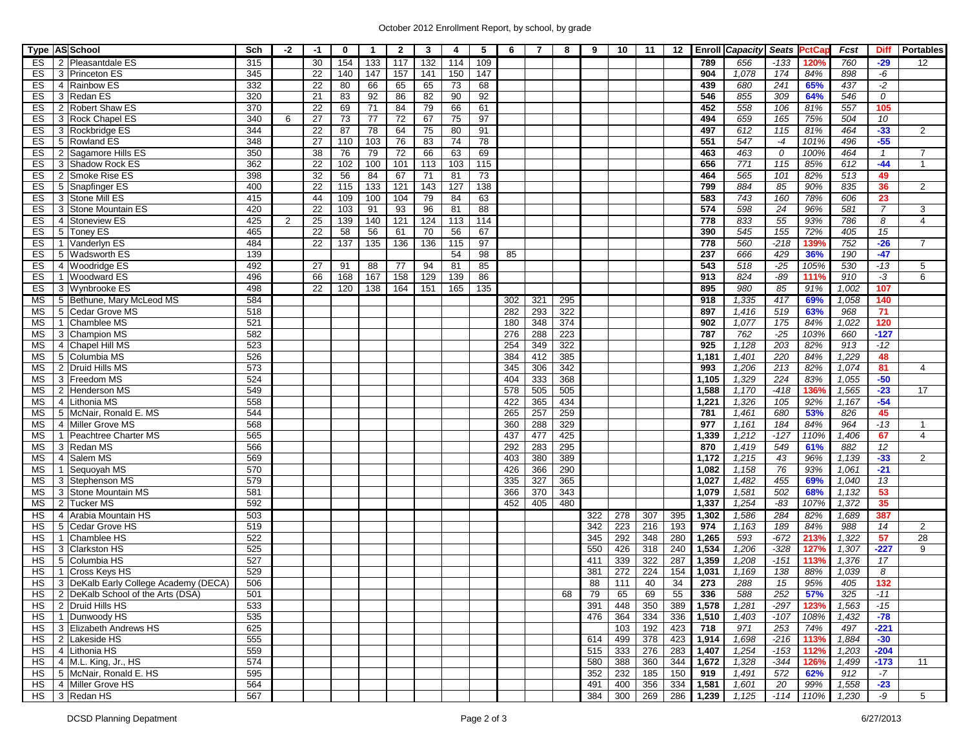## October 2012 Enrollment Report, by school, by grade

| Type AS School  |                                          | Sch | $-2$           | -1              | 0   | $\mathbf{1}$ | $\overline{2}$ | 3                | 4   | 5   | 6   | 7   | 8   | 9   | 10  | 11  | 12  |       | <b>Enroll Capacity</b> | Seats PctCa     |      | Fcst  | <b>Diff</b>    | <b>Portables</b>      |
|-----------------|------------------------------------------|-----|----------------|-----------------|-----|--------------|----------------|------------------|-----|-----|-----|-----|-----|-----|-----|-----|-----|-------|------------------------|-----------------|------|-------|----------------|-----------------------|
| ES              | 2 Pleasantdale ES                        | 315 |                | 30              | 154 | 133          | 117            | 132              | 114 | 109 |     |     |     |     |     |     |     | 789   | 656                    | $-133$          | 120% | 760   | $-29$          | 12                    |
| ES              | 3 Princeton ES                           | 345 |                | 22              | 140 | 147          | 157            | 141              | 150 | 147 |     |     |     |     |     |     |     | 904   | 1,078                  | 174             | 84%  | 898   | -6             |                       |
| ES              | 4 Rainbow ES                             | 332 |                | 22              | 80  | 66           | 65             | 65               | 73  | 68  |     |     |     |     |     |     |     | 439   | 680                    | 241             | 65%  | 437   | $-2$           |                       |
| ES              | 3 Redan ES                               | 320 |                | 21              | 83  | 92           | 86             | 82               | 90  | 92  |     |     |     |     |     |     |     | 546   | 855                    | 309             | 64%  | 546   | 0              |                       |
| ES              | 2 Robert Shaw ES                         | 370 |                | 22              | 69  | 71           | 84             | 79               | 66  | 61  |     |     |     |     |     |     |     | 452   | 558                    | 106             | 81%  | 557   | 105            |                       |
| ES              | 3 Rock Chapel ES                         | 340 | 6              | 27              | 73  | 77           | 72             | 67               | 75  | 97  |     |     |     |     |     |     |     | 494   | 659                    | 165             | 75%  | 504   | 10             |                       |
| ES              | 3 Rockbridge ES                          | 344 |                | 22              | 87  | 78           | 64             | 75               | 80  | 91  |     |     |     |     |     |     |     | 497   | 612                    | 115             | 81%  | 464   | $-33$          | 2                     |
| ES              | 5 Rowland ES                             | 348 |                | 27              | 110 | 103          | 76             | 83               | 74  | 78  |     |     |     |     |     |     |     | 551   | 547                    | $-4$            | 101% | 496   | $-55$          |                       |
| ES              | 2 Sagamore Hills ES                      | 350 |                | 38              | 76  | 79           | 72             | 66               | 63  | 69  |     |     |     |     |     |     |     | 463   | 463                    | $\mathcal O$    | 100% | 464   | $\mathbf{1}$   | 7                     |
| ES              | 3 Shadow Rock ES                         | 362 |                | 22              | 102 | 100          | 101            | 113              | 103 | 115 |     |     |     |     |     |     |     | 656   | $\overline{771}$       | 115             | 85%  | 612   | $-44$          | 1                     |
| ES              | 2 Smoke Rise ES                          | 398 |                | 32              | 56  | 84           | 67             | 71               | 81  | 73  |     |     |     |     |     |     |     | 464   | 565                    | 101             | 82%  | 513   | 49             |                       |
| ES              | 5 Snapfinger ES                          | 400 |                | 22              | 115 | 133          | 121            | $\overline{143}$ | 127 | 138 |     |     |     |     |     |     |     | 799   | 884                    | 85              | 90%  | 835   | 36             | $\overline{2}$        |
| ES              | 3 Stone Mill ES                          | 415 |                | 44              | 109 | 100          | 104            | 79               | 84  | 63  |     |     |     |     |     |     |     | 583   | $\overline{743}$       | 160             | 78%  | 606   | 23             |                       |
| ES              | 3 Stone Mountain ES                      | 420 |                | 22              | 103 | 91           | 93             | 96               | 81  | 88  |     |     |     |     |     |     |     | 574   | 598                    | 24              | 96%  | 581   | $\overline{7}$ | 3                     |
| ES              | 4 Stoneview ES                           | 425 | $\overline{2}$ | $\overline{25}$ | 139 | 140          | 121            | 124              | 113 | 114 |     |     |     |     |     |     |     | 778   | 833                    | 55              | 93%  | 786   | 8              | $\overline{4}$        |
| ES              | 5 Toney ES                               | 465 |                | 22              | 58  | 56           | 61             | $\overline{70}$  | 56  | 67  |     |     |     |     |     |     |     | 390   | 545                    | 155             | 72%  | 405   | 15             |                       |
| ES              | Vanderlyn ES<br>$\mathbf{1}$             | 484 |                | 22              | 137 | 135          | 136            | 136              | 115 | 97  |     |     |     |     |     |     |     | 778   | 560                    | $-218$          | 139% | 752   | $-26$          | $\overline{7}$        |
| ES              | 5 Wadsworth ES                           | 139 |                |                 |     |              |                |                  | 54  | 98  | 85  |     |     |     |     |     |     | 237   | 666                    | 429             | 36%  | 190   | $-47$          |                       |
| ES              |                                          | 492 |                | 27              | 91  | 88           | 77             | 94               | 81  |     |     |     |     |     |     |     |     | 543   | 518                    | $-25$           | 105% | 530   | $-13$          | 5                     |
|                 | 4 Woodridge ES                           |     |                |                 |     |              |                |                  |     | 85  |     |     |     |     |     |     |     |       |                        |                 |      |       |                |                       |
| ES              | 1 Woodward ES                            | 496 |                | 66              | 168 | 167          | 158            | 129              | 139 | 86  |     |     |     |     |     |     |     | 913   | 824<br>980             | -89             | 111% | 910   | $-3$           | 6                     |
| ES              | 3 Wynbrooke ES                           | 498 |                | 22              | 120 | 138          | 164            | 151              | 165 | 135 |     |     |     |     |     |     |     | 895   |                        | 85              | 91%  | 1,002 | 107            |                       |
| МS              | 5 Bethune, Mary McLeod MS                | 584 |                |                 |     |              |                |                  |     |     | 302 | 321 | 295 |     |     |     |     | 918   | 1,335                  | 417             | 69%  | 1,058 | 140            |                       |
| МS              | 5 Cedar Grove MS                         | 518 |                |                 |     |              |                |                  |     |     | 282 | 293 | 322 |     |     |     |     | 897   | 1,416                  | 519             | 63%  | 968   | 71             |                       |
| <b>MS</b>       | Chamblee MS<br>$\mathbf{1}$              | 521 |                |                 |     |              |                |                  |     |     | 180 | 348 | 374 |     |     |     |     | 902   | 1,077                  | $\frac{175}{2}$ | 84%  | 1,022 | 120            |                       |
| <b>MS</b>       | 3 Champion MS                            | 582 |                |                 |     |              |                |                  |     |     | 276 | 288 | 223 |     |     |     |     | 787   | 762                    | $-25$           | 103% | 660   | $-127$         |                       |
| <b>MS</b>       | 4 Chapel Hill MS                         | 523 |                |                 |     |              |                |                  |     |     | 254 | 349 | 322 |     |     |     |     | 925   | 1,128                  | 203             | 82%  | 913   | $-12$          |                       |
| ΜS              | 5 Columbia MS                            | 526 |                |                 |     |              |                |                  |     |     | 384 | 412 | 385 |     |     |     |     | 1,181 | 1,401                  | 220             | 84%  | 1,229 | 48             |                       |
| ΜS              | 2 Druid Hills MS                         | 573 |                |                 |     |              |                |                  |     |     | 345 | 306 | 342 |     |     |     |     | 993   | 1,206                  | 213             | 82%  | 1,074 | 81             | $\boldsymbol{\Delta}$ |
| ΜS              | 3 Freedom MS                             | 524 |                |                 |     |              |                |                  |     |     | 404 | 333 | 368 |     |     |     |     | 1,105 | 1,329                  | 224             | 83%  | 1,055 | $-50$          |                       |
| <b>MS</b>       | Henderson MS<br>2                        | 549 |                |                 |     |              |                |                  |     |     | 578 | 505 | 505 |     |     |     |     | 1,588 | 1,170                  | $-418$          | 136% | 1,565 | $-23$          | 17                    |
| МS              | 4 Lithonia MS                            | 558 |                |                 |     |              |                |                  |     |     | 422 | 365 | 434 |     |     |     |     | 1,221 | 1,326                  | 105             | 92%  | 1,167 | $-54$          |                       |
| МS              | 5 McNair, Ronald E. MS                   | 544 |                |                 |     |              |                |                  |     |     | 265 | 257 | 259 |     |     |     |     | 781   | 1,461                  | 680             | 53%  | 826   | 45             |                       |
| МS              | 4 Miller Grove MS                        | 568 |                |                 |     |              |                |                  |     |     | 360 | 288 | 329 |     |     |     |     | 977   | 1,161                  | 184             | 84%  | 964   | $-13$          |                       |
| МS              | 1 Peachtree Charter MS                   | 565 |                |                 |     |              |                |                  |     |     | 437 | 477 | 425 |     |     |     |     | 1,339 | 1,212                  | $-127$          | 110% | 1,406 | 67             | $\overline{4}$        |
| МS              | 3 Redan MS                               | 566 |                |                 |     |              |                |                  |     |     | 292 | 283 | 295 |     |     |     |     | 870   | 1,419                  | 549             | 61%  | 882   | 12             |                       |
| <b>MS</b>       | 4 Salem MS                               | 569 |                |                 |     |              |                |                  |     |     | 403 | 380 | 389 |     |     |     |     | 1,172 | 1,215                  | 43              | 96%  | 1,139 | $-33$          | $\overline{2}$        |
| <b>MS</b>       | Sequoyah MS<br>$\mathbf{1}$              | 570 |                |                 |     |              |                |                  |     |     | 426 | 366 | 290 |     |     |     |     | 1,082 | 1,158                  | 76              | 93%  | 1,061 | $-21$          |                       |
| <b>MS</b>       | 3 Stephenson MS                          | 579 |                |                 |     |              |                |                  |     |     | 335 | 327 | 365 |     |     |     |     | 1,027 | 1,482                  | 455             | 69%  | 1,040 | 13             |                       |
| ΜS              | 3 Stone Mountain MS                      | 581 |                |                 |     |              |                |                  |     |     | 366 | 370 | 343 |     |     |     |     | 1,079 | 1,581                  | 502             | 68%  | 1,132 | 53             |                       |
| МS              | 2 Tucker MS                              | 592 |                |                 |     |              |                |                  |     |     | 452 | 405 | 480 |     |     |     |     | 1,337 | 1,254                  | $-83$           | 107% | 1,372 | 35             |                       |
| $\overline{HS}$ | Arabia Mountain HS<br>4                  | 503 |                |                 |     |              |                |                  |     |     |     |     |     | 322 | 278 | 307 | 395 | 1,302 | 1,586                  | 284             | 82%  | 1,689 | 387            |                       |
| <b>HS</b>       | 5 Cedar Grove HS                         | 519 |                |                 |     |              |                |                  |     |     |     |     |     | 342 | 223 | 216 | 193 | 974   | 1,163                  | 189             | 84%  | 988   | 14             | $\overline{2}$        |
| НS              | Chamblee HS                              | 522 |                |                 |     |              |                |                  |     |     |     |     |     | 345 | 292 | 348 | 280 | 1,265 | 593                    | $-672$          | 213% | 1,322 | 57             | 28                    |
| НS              | 3 Clarkston HS                           | 525 |                |                 |     |              |                |                  |     |     |     |     |     | 550 | 426 | 318 | 240 | 1,534 | 1,206                  | $-328$          | 127% | 1,307 | $-227$         | 9                     |
| НS              | 5 Columbia HS                            | 527 |                |                 |     |              |                |                  |     |     |     |     |     | 411 | 339 | 322 | 287 | 1,359 | 1,208                  | $-151$          | 113% | 1,376 | 17             |                       |
|                 |                                          | 529 |                |                 |     |              |                |                  |     |     |     |     |     |     |     |     |     |       |                        |                 |      |       |                |                       |
| <b>HS</b>       | 1 Cross Keys HS                          |     |                |                 |     |              |                |                  |     |     |     |     |     | 381 | 272 | 224 | 154 | 1,031 | 1,169                  | 138             | 88%  | 1,039 | 8              |                       |
| HS              | 3 DeKalb Early College Academy (DECA)    | 506 |                |                 |     |              |                |                  |     |     |     |     |     | 88  | 111 | 40  | 34  | 273   | 288                    | 15              | 95%  | 405   | 132            |                       |
|                 | HS   2   DeKalb School of the Arts (DSA) | 501 |                |                 |     |              |                |                  |     |     |     |     | 68  | 79  | 65  | 69  | 55  | 336   | 588                    | 252             | 57%  | 325   | -11            |                       |
|                 | HS   2   Druid Hills HS                  | 533 |                |                 |     |              |                |                  |     |     |     |     |     | 391 | 448 | 350 | 389 | 1,578 | 1,281                  | $-297$          | 123% | 1,563 | $-15$          |                       |
|                 | HS   1   Dunwoody HS                     | 535 |                |                 |     |              |                |                  |     |     |     |     |     | 476 | 364 | 334 | 336 | 1,510 | 1,403                  | $-107$          | 108% | 1,432 | $-78$          |                       |
|                 | HS 3 Elizabeth Andrews HS                | 625 |                |                 |     |              |                |                  |     |     |     |     |     |     | 103 | 192 | 423 | 718   | 971                    | 253             | 74%  | 497   | $-221$         |                       |
|                 | HS 2 Lakeside HS                         | 555 |                |                 |     |              |                |                  |     |     |     |     |     | 614 | 499 | 378 | 423 | 1,914 | 1,698                  | $-216$          | 113% | 1,884 | $-30$          |                       |
|                 | HS 4 Lithonia HS                         | 559 |                |                 |     |              |                |                  |     |     |     |     |     | 515 | 333 | 276 | 283 | 1,407 | 1,254                  | $-153$          | 112% | 1,203 | $-204$         |                       |
|                 | $HS$   4   M.L. King, Jr., HS            | 574 |                |                 |     |              |                |                  |     |     |     |     |     | 580 | 388 | 360 | 344 | 1,672 | 1,328                  | -344            | 126% | 1,499 | $-173$         | 11                    |
|                 | HS 5 McNair, Ronald E. HS                | 595 |                |                 |     |              |                |                  |     |     |     |     |     | 352 | 232 | 185 | 150 | 919   | 1,491                  | 572             | 62%  | 912   | $-7$           |                       |
|                 | HS   4   Miller Grove HS                 | 564 |                |                 |     |              |                |                  |     |     |     |     |     | 491 | 400 | 356 | 334 | 1,581 | 1,601                  | 20              | 99%  | 1,558 | $-23$          |                       |
|                 | HS 3 Redan HS                            | 567 |                |                 |     |              |                |                  |     |     |     |     |     | 384 | 300 | 269 | 286 | 1,239 | 1,125                  | $-114$          | 110% | 1,230 | -9             | 5 <sup>5</sup>        |